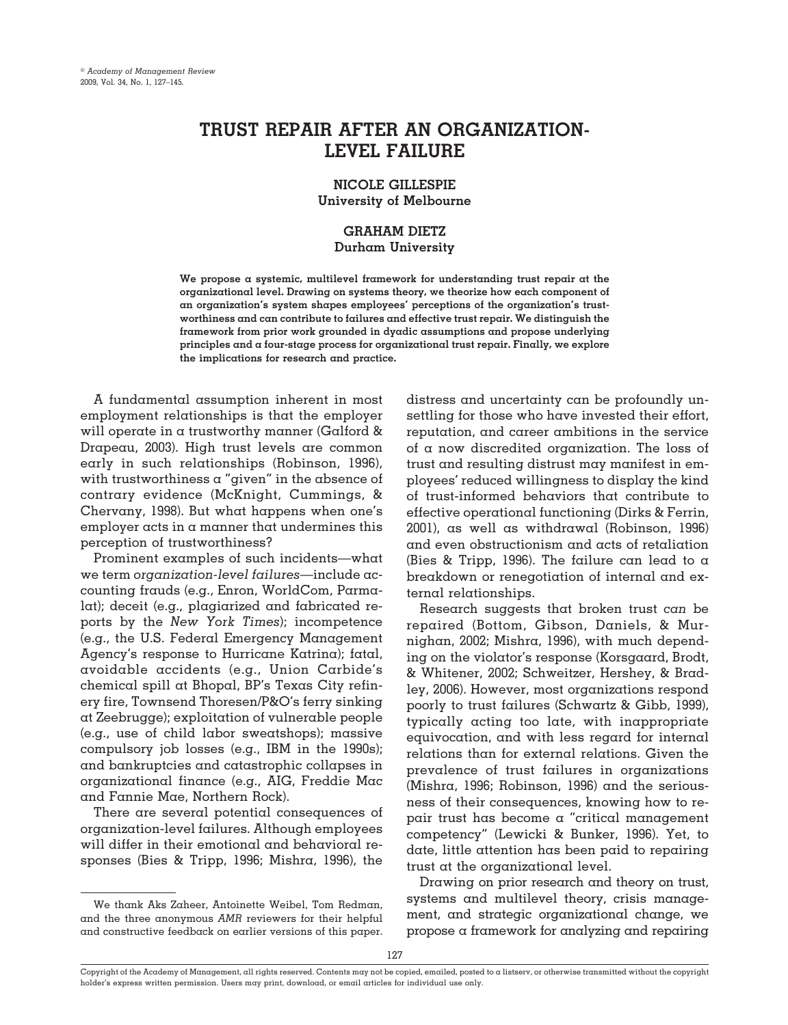# **TRUST REPAIR AFTER AN ORGANIZATION-LEVEL FAILURE**

# **NICOLE GILLESPIE University of Melbourne**

### **GRAHAM DIETZ**

### **Durham University**

**We propose a systemic, multilevel framework for understanding trust repair at the organizational level. Drawing on systems theory, we theorize how each component of an organization's system shapes employees' perceptions of the organization's trustworthiness and can contribute to failures and effective trust repair. We distinguish the framework from prior work grounded in dyadic assumptions and propose underlying principles and a four-stage process for organizational trust repair. Finally, we explore the implications for research and practice.**

A fundamental assumption inherent in most employment relationships is that the employer will operate in a trustworthy manner (Galford & Drapeau, 2003). High trust levels are common early in such relationships (Robinson, 1996), with trustworthiness  $\alpha$  "given" in the absence of contrary evidence (McKnight, Cummings, & Chervany, 1998). But what happens when one's employer acts in a manner that undermines this perception of trustworthiness?

Prominent examples of such incidents—what we term *organization-level failures*—include accounting frauds (e.g., Enron, WorldCom, Parmalat); deceit (e.g., plagiarized and fabricated reports by the *New York Times*); incompetence (e.g., the U.S. Federal Emergency Management Agency's response to Hurricane Katrina); fatal, avoidable accidents (e.g., Union Carbide's chemical spill at Bhopal, BP's Texas City refinery fire, Townsend Thoresen/P&O's ferry sinking at Zeebrugge); exploitation of vulnerable people (e.g., use of child labor sweatshops); massive compulsory job losses (e.g., IBM in the 1990s); and bankruptcies and catastrophic collapses in organizational finance (e.g., AIG, Freddie Mac and Fannie Mae, Northern Rock).

There are several potential consequences of organization-level failures. Although employees will differ in their emotional and behavioral responses (Bies & Tripp, 1996; Mishra, 1996), the

We thank Aks Zaheer, Antoinette Weibel, Tom Redman, and the three anonymous *AMR* reviewers for their helpful and constructive feedback on earlier versions of this paper. distress and uncertainty can be profoundly unsettling for those who have invested their effort, reputation, and career ambitions in the service of a now discredited organization. The loss of trust and resulting distrust may manifest in employees' reduced willingness to display the kind of trust-informed behaviors that contribute to effective operational functioning (Dirks & Ferrin, 2001), as well as withdrawal (Robinson, 1996) and even obstructionism and acts of retaliation (Bies & Tripp, 1996). The failure can lead to  $\alpha$ breakdown or renegotiation of internal and external relationships.

Research suggests that broken trust *can* be repaired (Bottom, Gibson, Daniels, & Murnighan, 2002; Mishra, 1996), with much depending on the violator's response (Korsgaard, Brodt, & Whitener, 2002; Schweitzer, Hershey, & Bradley, 2006). However, most organizations respond poorly to trust failures (Schwartz & Gibb, 1999), typically acting too late, with inappropriate equivocation, and with less regard for internal relations than for external relations. Given the prevalence of trust failures in organizations (Mishra, 1996; Robinson, 1996) and the seriousness of their consequences, knowing how to repair trust has become a "critical management competency" (Lewicki & Bunker, 1996). Yet, to date, little attention has been paid to repairing trust at the organizational level.

Drawing on prior research and theory on trust, systems and multilevel theory, crisis management, and strategic organizational change, we propose a framework for analyzing and repairing

Copyright of the Academy of Management, all rights reserved. Contents may not be copied, emailed, posted to a listserv, or otherwise transmitted without the copyright holder's express written permission. Users may print, download, or email articles for individual use only.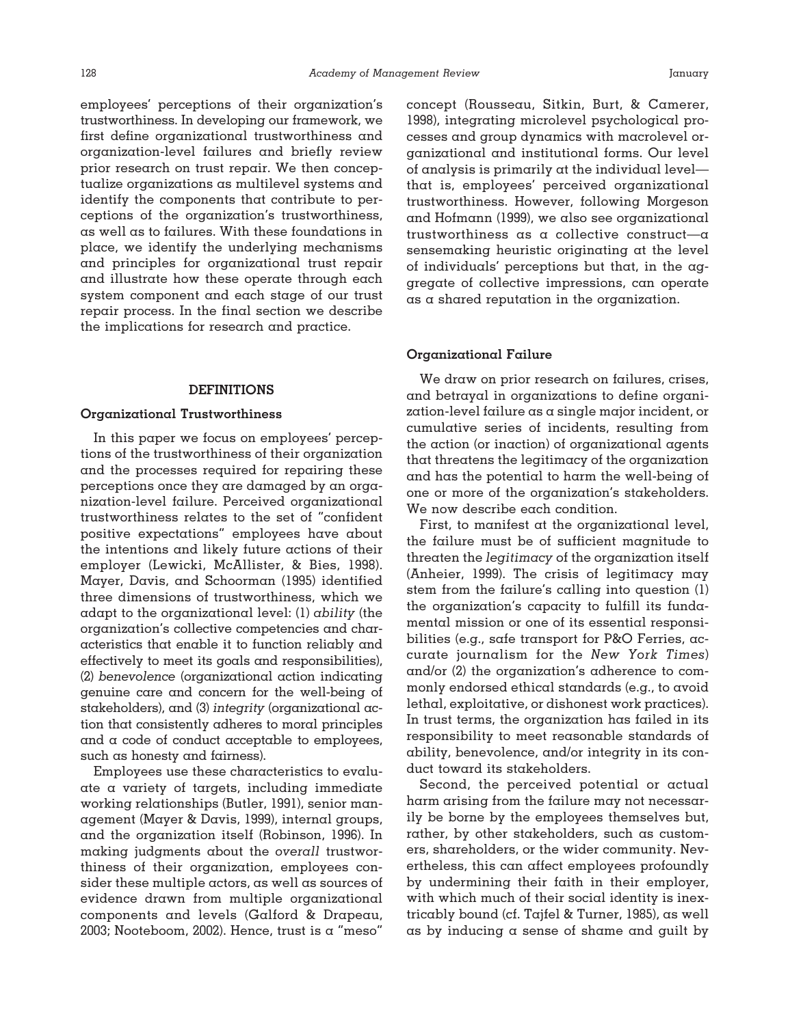employees' perceptions of their organization's trustworthiness. In developing our framework, we first define organizational trustworthiness and organization-level failures and briefly review prior research on trust repair. We then conceptualize organizations as multilevel systems and identify the components that contribute to perceptions of the organization's trustworthiness, as well as to failures. With these foundations in place, we identify the underlying mechanisms and principles for organizational trust repair and illustrate how these operate through each system component and each stage of our trust repair process. In the final section we describe the implications for research and practice.

### **DEFINITIONS**

#### **Organizational Trustworthiness**

In this paper we focus on employees' perceptions of the trustworthiness of their organization and the processes required for repairing these perceptions once they are damaged by an organization-level failure. Perceived organizational trustworthiness relates to the set of "confident positive expectations" employees have about the intentions and likely future actions of their employer (Lewicki, McAllister, & Bies, 1998). Mayer, Davis, and Schoorman (1995) identified three dimensions of trustworthiness, which we adapt to the organizational level: (1) *ability* (the organization's collective competencies and characteristics that enable it to function reliably and effectively to meet its goals and responsibilities), (2) *benevolence* (organizational action indicating genuine care and concern for the well-being of stakeholders), and (3) *integrity* (organizational action that consistently adheres to moral principles and a code of conduct acceptable to employees, such as honesty and fairness).

Employees use these characteristics to evaluate a variety of targets, including immediate working relationships (Butler, 1991), senior management (Mayer & Davis, 1999), internal groups, and the organization itself (Robinson, 1996). In making judgments about the *overall* trustworthiness of their organization, employees consider these multiple actors, as well as sources of evidence drawn from multiple organizational components and levels (Galford & Drapeau, 2003; Nooteboom, 2002). Hence, trust is a "meso"

concept (Rousseau, Sitkin, Burt, & Camerer, 1998), integrating microlevel psychological processes and group dynamics with macrolevel organizational and institutional forms. Our level of analysis is primarily at the individual level that is, employees' perceived organizational trustworthiness. However, following Morgeson and Hofmann (1999), we also see organizational trustworthiness as a collective construct—a sensemaking heuristic originating at the level of individuals' perceptions but that, in the aggregate of collective impressions, can operate as a shared reputation in the organization.

#### **Organizational Failure**

We draw on prior research on failures, crises, and betrayal in organizations to define organization-level failure as a single major incident, or cumulative series of incidents, resulting from the action (or inaction) of organizational agents that threatens the legitimacy of the organization and has the potential to harm the well-being of one or more of the organization's stakeholders. We now describe each condition.

First, to manifest at the organizational level, the failure must be of sufficient magnitude to threaten the *legitimacy* of the organization itself (Anheier, 1999). The crisis of legitimacy may stem from the failure's calling into question (1) the organization's capacity to fulfill its fundamental mission or one of its essential responsibilities (e.g., safe transport for P&O Ferries, accurate journalism for the *New York Times*) and/or (2) the organization's adherence to commonly endorsed ethical standards (e.g., to avoid lethal, exploitative, or dishonest work practices). In trust terms, the organization has failed in its responsibility to meet reasonable standards of ability, benevolence, and/or integrity in its conduct toward its stakeholders.

Second, the perceived potential or actual harm arising from the failure may not necessarily be borne by the employees themselves but, rather, by other stakeholders, such as customers, shareholders, or the wider community. Nevertheless, this can affect employees profoundly by undermining their faith in their employer, with which much of their social identity is inextricably bound (cf. Tajfel & Turner, 1985), as well as by inducing a sense of shame and guilt by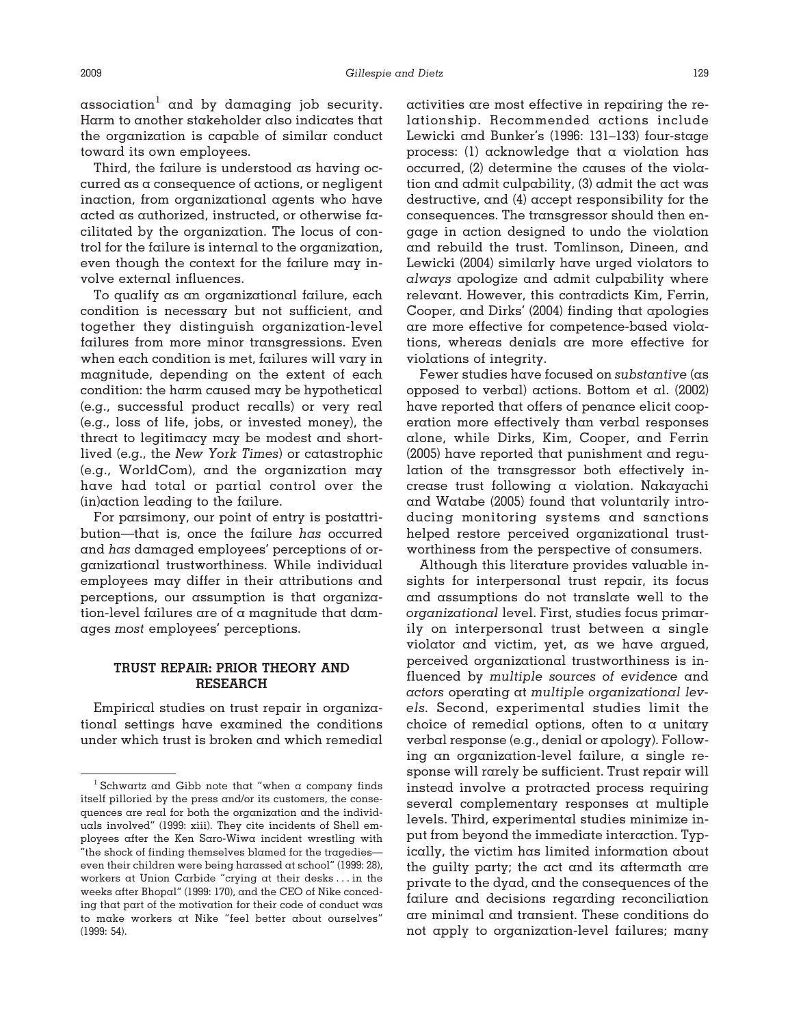association<sup>1</sup> and by damaging job security. Harm to another stakeholder also indicates that the organization is capable of similar conduct toward its own employees.

Third, the failure is understood as having occurred as a consequence of actions, or negligent inaction, from organizational agents who have acted as authorized, instructed, or otherwise facilitated by the organization. The locus of control for the failure is internal to the organization, even though the context for the failure may involve external influences.

To qualify as an organizational failure, each condition is necessary but not sufficient, and together they distinguish organization-level failures from more minor transgressions. Even when each condition is met, failures will vary in magnitude, depending on the extent of each condition: the harm caused may be hypothetical (e.g., successful product recalls) or very real (e.g., loss of life, jobs, or invested money), the threat to legitimacy may be modest and shortlived (e.g., the *New York Times*) or catastrophic (e.g., WorldCom), and the organization may have had total or partial control over the (in)action leading to the failure.

For parsimony, our point of entry is postattribution—that is, once the failure *has* occurred and *has* damaged employees' perceptions of organizational trustworthiness. While individual employees may differ in their attributions and perceptions, our assumption is that organization-level failures are of a magnitude that damages *most* employees' perceptions.

### **TRUST REPAIR: PRIOR THEORY AND RESEARCH**

Empirical studies on trust repair in organizational settings have examined the conditions under which trust is broken and which remedial activities are most effective in repairing the relationship. Recommended actions include Lewicki and Bunker's (1996: 131–133) four-stage process: (1) acknowledge that a violation has occurred, (2) determine the causes of the violation and admit culpability, (3) admit the act was destructive, and (4) accept responsibility for the consequences. The transgressor should then engage in action designed to undo the violation and rebuild the trust. Tomlinson, Dineen, and Lewicki (2004) similarly have urged violators to *always* apologize and admit culpability where relevant. However, this contradicts Kim, Ferrin, Cooper, and Dirks' (2004) finding that apologies are more effective for competence-based violations, whereas denials are more effective for violations of integrity.

Fewer studies have focused on *substantive* (as opposed to verbal) actions. Bottom et al. (2002) have reported that offers of penance elicit cooperation more effectively than verbal responses alone, while Dirks, Kim, Cooper, and Ferrin (2005) have reported that punishment and regulation of the transgressor both effectively increase trust following a violation. Nakayachi and Watabe (2005) found that voluntarily introducing monitoring systems and sanctions helped restore perceived organizational trustworthiness from the perspective of consumers.

Although this literature provides valuable insights for interpersonal trust repair, its focus and assumptions do not translate well to the *organizational* level. First, studies focus primarily on interpersonal trust between a single violator and victim, yet, as we have argued, perceived organizational trustworthiness is influenced by *multiple sources of evidence* and *actors* operating at *multiple organizational levels.* Second, experimental studies limit the choice of remedial options, often to a unitary verbal response (e.g., denial or apology). Following an organization-level failure, a single response will rarely be sufficient. Trust repair will instead involve a protracted process requiring several complementary responses at multiple levels. Third, experimental studies minimize input from beyond the immediate interaction. Typically, the victim has limited information about the guilty party; the act and its aftermath are private to the dyad, and the consequences of the failure and decisions regarding reconciliation are minimal and transient. These conditions do not apply to organization-level failures; many

 $1$  Schwartz and Gibb note that "when a company finds itself pilloried by the press and/or its customers, the consequences are real for both the organization and the individuals involved" (1999: xiii). They cite incidents of Shell employees after the Ken Saro-Wiwa incident wrestling with "the shock of finding themselves blamed for the tragedies even their children were being harassed at school" (1999: 28), workers at Union Carbide "crying at their desks . . . in the weeks after Bhopal" (1999: 170), and the CEO of Nike conceding that part of the motivation for their code of conduct was to make workers at Nike "feel better about ourselves" (1999: 54).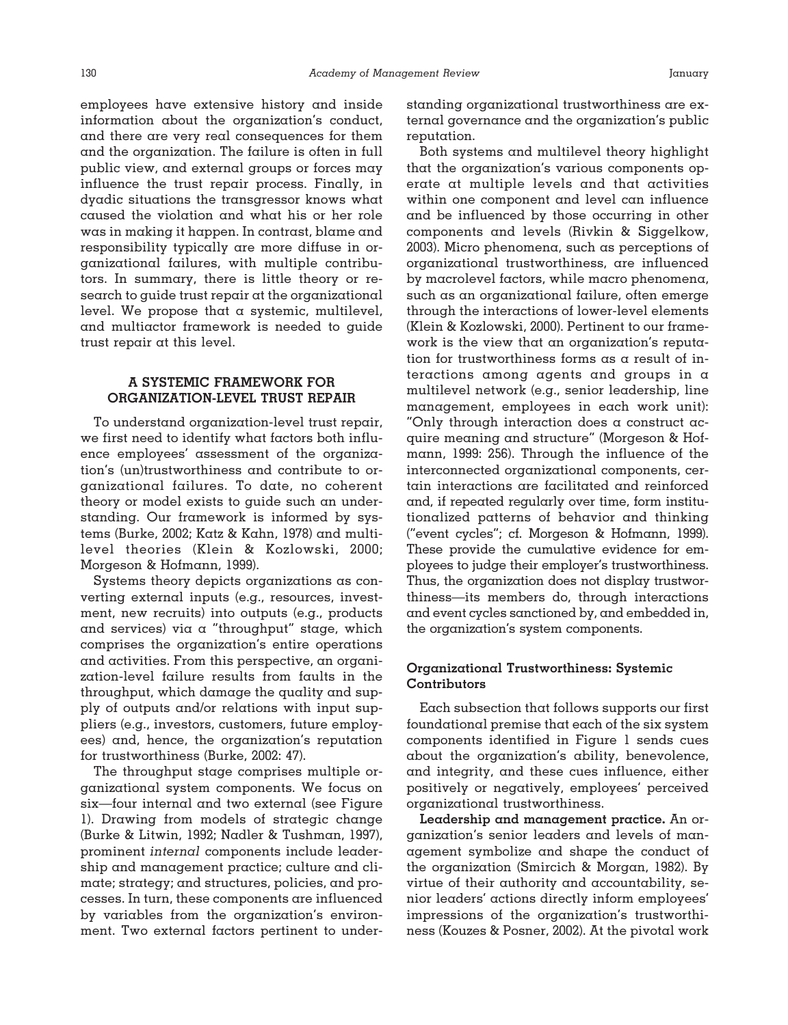employees have extensive history and inside information about the organization's conduct, and there are very real consequences for them and the organization. The failure is often in full public view, and external groups or forces may influence the trust repair process. Finally, in dyadic situations the transgressor knows what caused the violation and what his or her role was in making it happen. In contrast, blame and responsibility typically are more diffuse in organizational failures, with multiple contributors. In summary, there is little theory or research to guide trust repair at the organizational level. We propose that a systemic, multilevel, and multiactor framework is needed to guide trust repair at this level.

### **A SYSTEMIC FRAMEWORK FOR ORGANIZATION-LEVEL TRUST REPAIR**

To understand organization-level trust repair, we first need to identify what factors both influence employees' assessment of the organization's (un)trustworthiness and contribute to organizational failures. To date, no coherent theory or model exists to guide such an understanding. Our framework is informed by systems (Burke, 2002; Katz & Kahn, 1978) and multilevel theories (Klein & Kozlowski, 2000; Morgeson & Hofmann, 1999).

Systems theory depicts organizations as converting external inputs (e.g., resources, investment, new recruits) into outputs (e.g., products and services) via a "throughput" stage, which comprises the organization's entire operations and activities. From this perspective, an organization-level failure results from faults in the throughput, which damage the quality and supply of outputs and/or relations with input suppliers (e.g., investors, customers, future employees) and, hence, the organization's reputation for trustworthiness (Burke, 2002: 47).

The throughput stage comprises multiple organizational system components. We focus on six—four internal and two external (see Figure 1). Drawing from models of strategic change (Burke & Litwin, 1992; Nadler & Tushman, 1997), prominent *internal* components include leadership and management practice; culture and climate; strategy; and structures, policies, and processes. In turn, these components are influenced by variables from the organization's environment. Two external factors pertinent to understanding organizational trustworthiness are external governance and the organization's public reputation.

Both systems and multilevel theory highlight that the organization's various components operate at multiple levels and that activities within one component and level can influence and be influenced by those occurring in other components and levels (Rivkin & Siggelkow, 2003). Micro phenomena, such as perceptions of organizational trustworthiness, are influenced by macrolevel factors, while macro phenomena, such as an organizational failure, often emerge through the interactions of lower-level elements (Klein & Kozlowski, 2000). Pertinent to our framework is the view that an organization's reputation for trustworthiness forms as a result of interactions among agents and groups in a multilevel network (e.g., senior leadership, line management, employees in each work unit): "Only through interaction does a construct acquire meaning and structure" (Morgeson & Hofmann, 1999: 256). Through the influence of the interconnected organizational components, certain interactions are facilitated and reinforced and, if repeated regularly over time, form institutionalized patterns of behavior and thinking ("event cycles"; cf. Morgeson & Hofmann, 1999). These provide the cumulative evidence for employees to judge their employer's trustworthiness. Thus, the organization does not display trustworthiness—its members do, through interactions and event cycles sanctioned by, and embedded in, the organization's system components.

### **Organizational Trustworthiness: Systemic Contributors**

Each subsection that follows supports our first foundational premise that each of the six system components identified in Figure 1 sends cues about the organization's ability, benevolence, and integrity, and these cues influence, either positively or negatively, employees' perceived organizational trustworthiness.

**Leadership and management practice.** An organization's senior leaders and levels of management symbolize and shape the conduct of the organization (Smircich & Morgan, 1982). By virtue of their authority and accountability, senior leaders' actions directly inform employees' impressions of the organization's trustworthiness (Kouzes & Posner, 2002). At the pivotal work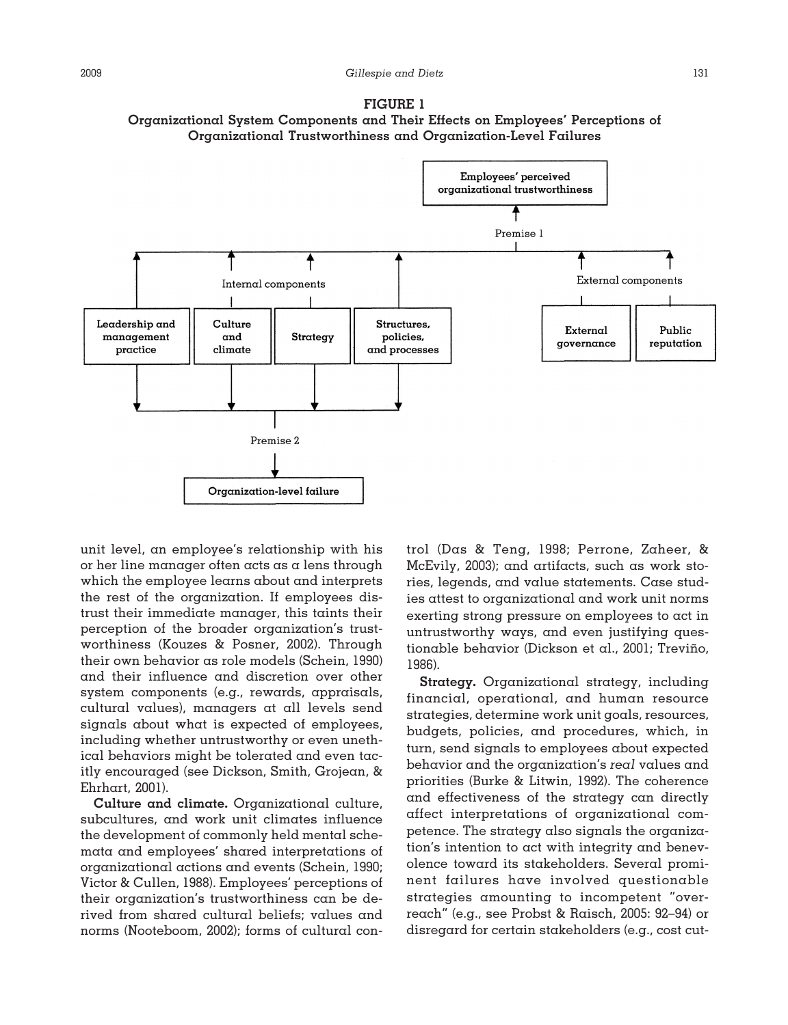

**FIGURE 1 Organizational System Components and Their Effects on Employees' Perceptions of Organizational Trustworthiness and Organization-Level Failures**

unit level, an employee's relationship with his or her line manager often acts as a lens through which the employee learns about and interprets the rest of the organization. If employees distrust their immediate manager, this taints their perception of the broader organization's trustworthiness (Kouzes & Posner, 2002). Through their own behavior as role models (Schein, 1990) and their influence and discretion over other system components (e.g., rewards, appraisals, cultural values), managers at all levels send signals about what is expected of employees, including whether untrustworthy or even unethical behaviors might be tolerated and even tacitly encouraged (see Dickson, Smith, Grojean, & Ehrhart, 2001).

**Culture and climate.** Organizational culture, subcultures, and work unit climates influence the development of commonly held mental schemata and employees' shared interpretations of organizational actions and events (Schein, 1990; Victor & Cullen, 1988). Employees' perceptions of their organization's trustworthiness can be derived from shared cultural beliefs; values and norms (Nooteboom, 2002); forms of cultural control (Das & Teng, 1998; Perrone, Zaheer, & McEvily, 2003); and artifacts, such as work stories, legends, and value statements. Case studies attest to organizational and work unit norms exerting strong pressure on employees to act in untrustworthy ways, and even justifying questionable behavior (Dickson et al., 2001; Treviño, 1986).

**Strategy.** Organizational strategy, including financial, operational, and human resource strategies, determine work unit goals, resources, budgets, policies, and procedures, which, in turn, send signals to employees about expected behavior and the organization's *real* values and priorities (Burke & Litwin, 1992). The coherence and effectiveness of the strategy can directly affect interpretations of organizational competence. The strategy also signals the organization's intention to act with integrity and benevolence toward its stakeholders. Several prominent failures have involved questionable strategies amounting to incompetent "overreach" (e.g., see Probst & Raisch, 2005: 92–94) or disregard for certain stakeholders (e.g., cost cut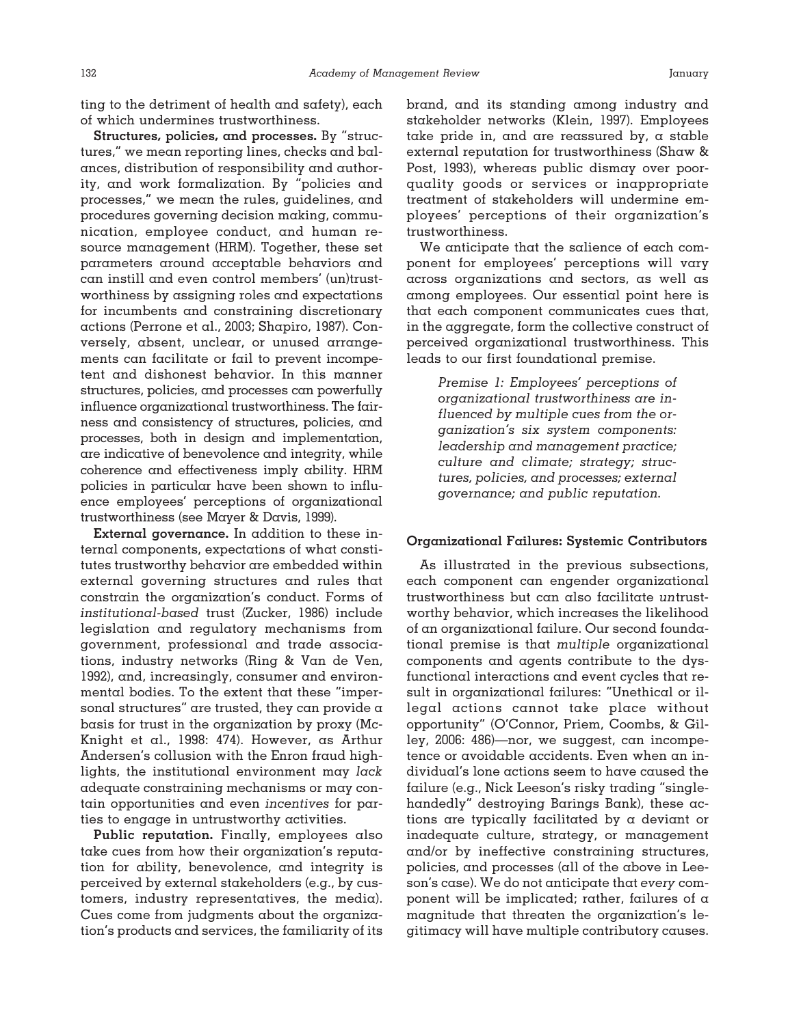ting to the detriment of health and safety), each of which undermines trustworthiness.

**Structures, policies, and processes.** By "structures," we mean reporting lines, checks and balances, distribution of responsibility and authority, and work formalization. By "policies and processes," we mean the rules, guidelines, and procedures governing decision making, communication, employee conduct, and human resource management (HRM). Together, these set parameters around acceptable behaviors and can instill and even control members' (un)trustworthiness by assigning roles and expectations for incumbents and constraining discretionary actions (Perrone et al., 2003; Shapiro, 1987). Conversely, absent, unclear, or unused arrangements can facilitate or fail to prevent incompetent and dishonest behavior. In this manner structures, policies, and processes can powerfully influence organizational trustworthiness. The fairness and consistency of structures, policies, and processes, both in design and implementation, are indicative of benevolence and integrity, while coherence and effectiveness imply ability. HRM policies in particular have been shown to influence employees' perceptions of organizational trustworthiness (see Mayer & Davis, 1999).

**External governance.** In addition to these internal components, expectations of what constitutes trustworthy behavior are embedded within external governing structures and rules that constrain the organization's conduct. Forms of *institutional-based* trust (Zucker, 1986) include legislation and regulatory mechanisms from government, professional and trade associations, industry networks (Ring & Van de Ven, 1992), and, increasingly, consumer and environmental bodies. To the extent that these "impersonal structures" are trusted, they can provide a basis for trust in the organization by proxy (Mc-Knight et al., 1998: 474). However, as Arthur Andersen's collusion with the Enron fraud highlights, the institutional environment may *lack* adequate constraining mechanisms or may contain opportunities and even *incentives* for parties to engage in untrustworthy activities.

Public reputation. Finally, employees also take cues from how their organization's reputation for ability, benevolence, and integrity is perceived by external stakeholders (e.g., by customers, industry representatives, the media). Cues come from judgments about the organization's products and services, the familiarity of its

brand, and its standing among industry and stakeholder networks (Klein, 1997). Employees take pride in, and are reassured by, a stable external reputation for trustworthiness (Shaw & Post, 1993), whereas public dismay over poorquality goods or services or inappropriate treatment of stakeholders will undermine employees' perceptions of their organization's trustworthiness.

We anticipate that the salience of each component for employees' perceptions will vary across organizations and sectors, as well as among employees. Our essential point here is that each component communicates cues that, in the aggregate, form the collective construct of perceived organizational trustworthiness. This leads to our first foundational premise.

> *Premise 1: Employees' perceptions of organizational trustworthiness are influenced by multiple cues from the organization's six system components: leadership and management practice; culture and climate; strategy; structures, policies, and processes; external governance; and public reputation.*

### **Organizational Failures: Systemic Contributors**

As illustrated in the previous subsections, each component can engender organizational trustworthiness but can also facilitate *un*trustworthy behavior, which increases the likelihood of an organizational failure. Our second foundational premise is that *multiple* organizational components and agents contribute to the dysfunctional interactions and event cycles that result in organizational failures: "Unethical or illegal actions cannot take place without opportunity" (O'Connor, Priem, Coombs, & Gilley, 2006: 486)—nor, we suggest, can incompetence or avoidable accidents. Even when an individual's lone actions seem to have caused the failure (e.g., Nick Leeson's risky trading "singlehandedly" destroying Barings Bank), these actions are typically facilitated by a deviant or inadequate culture, strategy, or management and/or by ineffective constraining structures, policies, and processes (all of the above in Leeson's case). We do not anticipate that *every* component will be implicated; rather, failures of a magnitude that threaten the organization's legitimacy will have multiple contributory causes.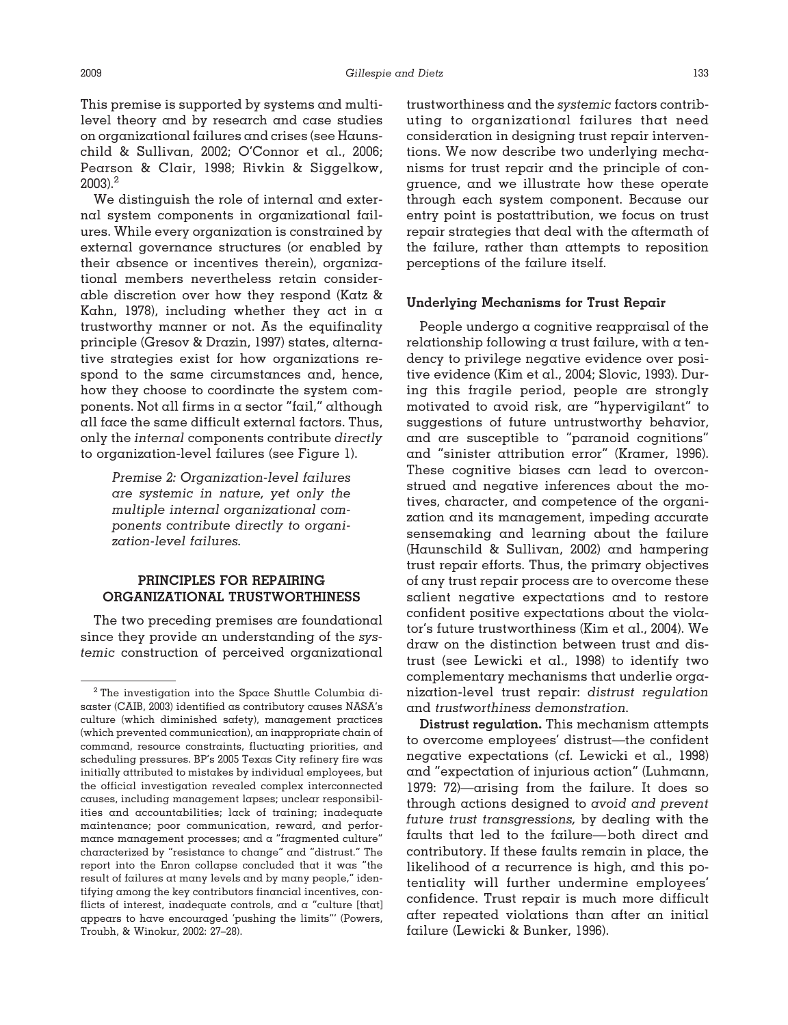This premise is supported by systems and multilevel theory and by research and case studies on organizational failures and crises (see Haunschild & Sullivan, 2002; O'Connor et al., 2006; Pearson & Clair, 1998; Rivkin & Siggelkow, 2003).2

We distinguish the role of internal and external system components in organizational failures. While every organization is constrained by external governance structures (or enabled by their absence or incentives therein), organizational members nevertheless retain considerable discretion over how they respond (Katz & Kahn, 1978), including whether they act in  $\alpha$ trustworthy manner or not. As the equifinality principle (Gresov & Drazin, 1997) states, alternative strategies exist for how organizations respond to the same circumstances and, hence, how they choose to coordinate the system components. Not all firms in a sector "fail," although all face the same difficult external factors. Thus, only the *internal* components contribute *directly* to organization-level failures (see Figure 1).

> *Premise 2: Organization-level failures are systemic in nature, yet only the multiple internal organizational components contribute directly to organization-level failures.*

# **PRINCIPLES FOR REPAIRING ORGANIZATIONAL TRUSTWORTHINESS**

The two preceding premises are foundational since they provide an understanding of the *systemic* construction of perceived organizational trustworthiness and the *systemic* factors contributing to organizational failures that need consideration in designing trust repair interventions. We now describe two underlying mechanisms for trust repair and the principle of congruence, and we illustrate how these operate through each system component. Because our entry point is postattribution, we focus on trust repair strategies that deal with the aftermath of the failure, rather than attempts to reposition perceptions of the failure itself.

### **Underlying Mechanisms for Trust Repair**

People undergo a cognitive reappraisal of the relationship following a trust failure, with a tendency to privilege negative evidence over positive evidence (Kim et al., 2004; Slovic, 1993). During this fragile period, people are strongly motivated to avoid risk, are "hypervigilant" to suggestions of future untrustworthy behavior, and are susceptible to "paranoid cognitions" and "sinister attribution error" (Kramer, 1996). These cognitive biases can lead to overconstrued and negative inferences about the motives, character, and competence of the organization and its management, impeding accurate sensemaking and learning about the failure (Haunschild & Sullivan, 2002) and hampering trust repair efforts. Thus, the primary objectives of any trust repair process are to overcome these salient negative expectations and to restore confident positive expectations about the violator's future trustworthiness (Kim et al., 2004). We draw on the distinction between trust and distrust (see Lewicki et al., 1998) to identify two complementary mechanisms that underlie organization-level trust repair: *distrust regulation* and *trustworthiness demonstration.*

**Distrust regulation.** This mechanism attempts to overcome employees' distrust—the confident negative expectations (cf. Lewicki et al., 1998) and "expectation of injurious action" (Luhmann, 1979: 72)—arising from the failure. It does so through actions designed to *avoid and prevent future trust transgressions,* by dealing with the faults that led to the failure—both direct and contributory. If these faults remain in place, the likelihood of a recurrence is high, and this potentiality will further undermine employees' confidence. Trust repair is much more difficult after repeated violations than after an initial failure (Lewicki & Bunker, 1996).

 $2$  The investigation into the Space Shuttle Columbia disaster (CAIB, 2003) identified as contributory causes NASA's culture (which diminished safety), management practices (which prevented communication), an inappropriate chain of command, resource constraints, fluctuating priorities, and scheduling pressures. BP's 2005 Texas City refinery fire was initially attributed to mistakes by individual employees, but the official investigation revealed complex interconnected causes, including management lapses; unclear responsibilities and accountabilities; lack of training; inadequate maintenance; poor communication, reward, and performance management processes; and a "fragmented culture" characterized by "resistance to change" and "distrust." The report into the Enron collapse concluded that it was "the result of failures at many levels and by many people," identifying among the key contributors financial incentives, conflicts of interest, inadequate controls, and a "culture [that] appears to have encouraged 'pushing the limits"' (Powers, Troubh, & Winokur, 2002: 27–28).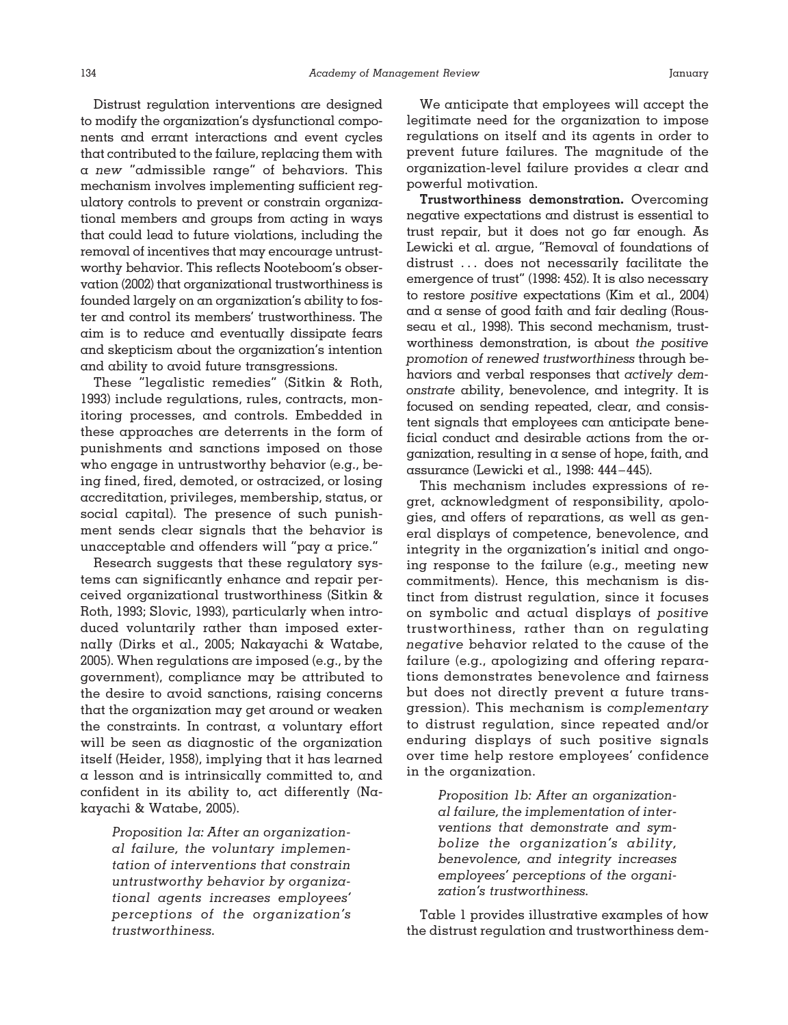Distrust regulation interventions are designed to modify the organization's dysfunctional components and errant interactions and event cycles that contributed to the failure, replacing them with a *new* "admissible range" of behaviors. This mechanism involves implementing sufficient regulatory controls to prevent or constrain organizational members and groups from acting in ways that could lead to future violations, including the removal of incentives that may encourage untrustworthy behavior. This reflects Nooteboom's observation (2002) that organizational trustworthiness is founded largely on an organization's ability to foster and control its members' trustworthiness. The aim is to reduce and eventually dissipate fears and skepticism about the organization's intention and ability to avoid future transgressions.

These "legalistic remedies" (Sitkin & Roth, 1993) include regulations, rules, contracts, monitoring processes, and controls. Embedded in these approaches are deterrents in the form of punishments and sanctions imposed on those who engage in untrustworthy behavior (e.g., being fined, fired, demoted, or ostracized, or losing accreditation, privileges, membership, status, or social capital). The presence of such punishment sends clear signals that the behavior is unacceptable and offenders will "pay a price."

Research suggests that these regulatory systems can significantly enhance and repair perceived organizational trustworthiness (Sitkin & Roth, 1993; Slovic, 1993), particularly when introduced voluntarily rather than imposed externally (Dirks et al., 2005; Nakayachi & Watabe, 2005). When regulations are imposed (e.g., by the government), compliance may be attributed to the desire to avoid sanctions, raising concerns that the organization may get around or weaken the constraints. In contrast, a voluntary effort will be seen as diagnostic of the organization itself (Heider, 1958), implying that it has learned a lesson and is intrinsically committed to, and confident in its ability to, act differently (Nakayachi & Watabe, 2005).

> *Proposition 1a: After an organizational failure, the voluntary implementation of interventions that constrain untrustworthy behavior by organizational agents increases employees' perceptions of the organization's trustworthiness.*

We anticipate that employees will accept the legitimate need for the organization to impose regulations on itself and its agents in order to prevent future failures. The magnitude of the organization-level failure provides a clear and powerful motivation.

**Trustworthiness demonstration.** Overcoming negative expectations and distrust is essential to trust repair, but it does not go far enough. As Lewicki et al. argue, "Removal of foundations of distrust . . . does not necessarily facilitate the emergence of trust" (1998: 452). It is also necessary to restore *positive* expectations (Kim et al., 2004) and a sense of good faith and fair dealing (Rousseau et al., 1998). This second mechanism, trustworthiness demonstration, is about *the positive promotion of renewed trustworthiness* through behaviors and verbal responses that *actively demonstrate* ability, benevolence, and integrity. It is focused on sending repeated, clear, and consistent signals that employees can anticipate beneficial conduct and desirable actions from the organization, resulting in a sense of hope, faith, and assurance (Lewicki et al., 1998: 444 – 445).

This mechanism includes expressions of regret, acknowledgment of responsibility, apologies, and offers of reparations, as well as general displays of competence, benevolence, and integrity in the organization's initial and ongoing response to the failure (e.g., meeting new commitments). Hence, this mechanism is distinct from distrust regulation, since it focuses on symbolic and actual displays of *positive* trustworthiness, rather than on regulating *negative* behavior related to the cause of the failure (e.g., apologizing and offering reparations demonstrates benevolence and fairness but does not directly prevent a future transgression). This mechanism is *complementary* to distrust regulation, since repeated and/or enduring displays of such positive signals over time help restore employees' confidence in the organization.

> *Proposition 1b: After an organizational failure, the implementation of interventions that demonstrate and symbolize the organization's ability, benevolence, and integrity increases employees' perceptions of the organization's trustworthiness.*

Table 1 provides illustrative examples of how the distrust regulation and trustworthiness dem-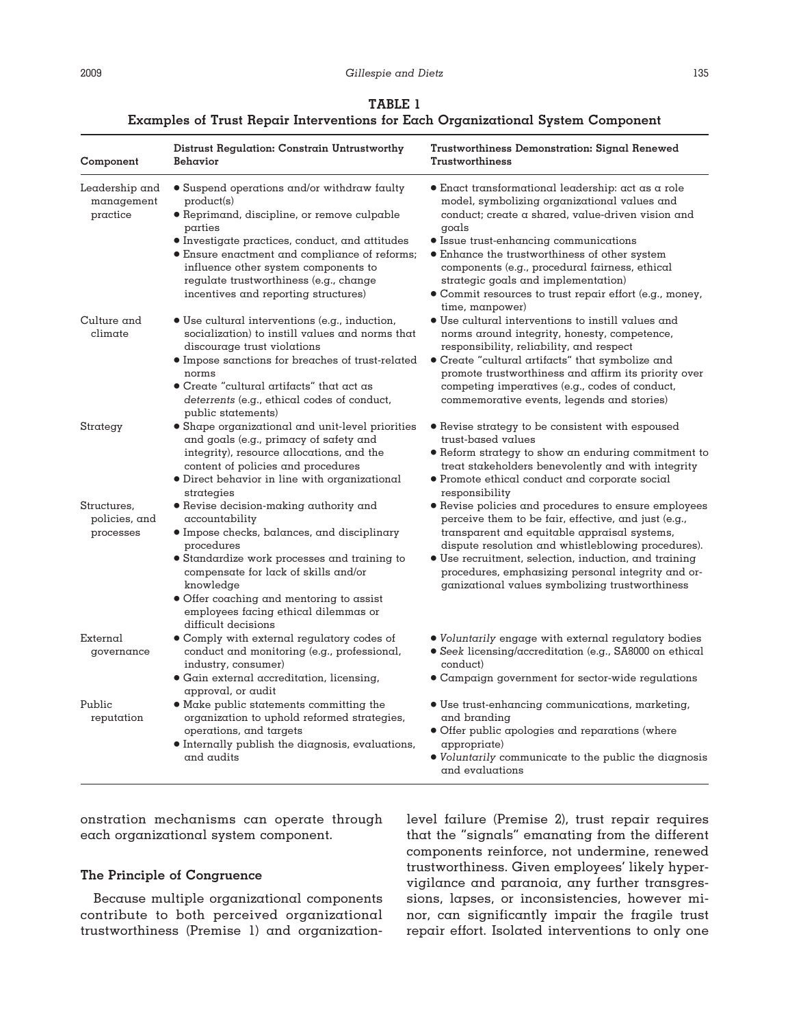# **TABLE 1**

# **Examples of Trust Repair Interventions for Each Organizational System Component**

| Component                                 | Distrust Regulation: Constrain Untrustworthy<br>Behavior                                                                                                                                                                                                                                                                                          | Trustworthiness Demonstration: Signal Renewed<br><b>Trustworthiness</b>                                                                                                                                                                                                                                                                                                                                                                    |
|-------------------------------------------|---------------------------------------------------------------------------------------------------------------------------------------------------------------------------------------------------------------------------------------------------------------------------------------------------------------------------------------------------|--------------------------------------------------------------------------------------------------------------------------------------------------------------------------------------------------------------------------------------------------------------------------------------------------------------------------------------------------------------------------------------------------------------------------------------------|
| Leadership and<br>management<br>practice  | • Suspend operations and/or withdraw faulty<br>product(s)<br>• Reprimand, discipline, or remove culpable<br>parties<br>· Investigate practices, conduct, and attitudes<br>• Ensure enactment and compliance of reforms;<br>influence other system components to<br>regulate trustworthiness (e.g., change<br>incentives and reporting structures) | $\bullet$ Enact transformational leadership: act as a role<br>model, symbolizing organizational values and<br>conduct; create a shared, value-driven vision and<br>goαls<br>• Issue trust-enhancing communications<br>• Enhance the trustworthiness of other system<br>components (e.g., procedural fairness, ethical<br>strategic goals and implementation)<br>• Commit resources to trust repair effort (e.g., money,<br>time, manpower) |
| Culture and<br>climate                    | • Use cultural interventions (e.g., induction,<br>socialization) to instill values and norms that<br>discourage trust violations<br>• Impose sanctions for breaches of trust-related<br>norms<br>• Create "cultural artifacts" that act as<br>deterrents (e.g., ethical codes of conduct,<br>public statements)                                   | • Use cultural interventions to instill values and<br>norms around integrity, honesty, competence,<br>responsibility, reliability, and respect<br>• Create "cultural artifacts" that symbolize and<br>promote trustworthiness and affirm its priority over<br>competing imperatives (e.g., codes of conduct,<br>commemorative events, legends and stories)                                                                                 |
| Strategy                                  | • Shape organizational and unit-level priorities<br>and goals (e.g., primacy of safety and<br>integrity), resource allocations, and the<br>content of policies and procedures<br>• Direct behavior in line with organizational<br>strategies                                                                                                      | • Revise strategy to be consistent with espoused<br>trust-based values<br>• Reform strategy to show an enduring commitment to<br>treat stakeholders benevolently and with integrity<br>· Promote ethical conduct and corporate social<br>responsibility                                                                                                                                                                                    |
| Structures,<br>policies, and<br>processes | · Revise decision-making authority and<br>accountability<br>· Impose checks, balances, and disciplinary<br>procedures<br>• Standardize work processes and training to<br>compensate for lack of skills and/or<br>knowledge<br>· Offer coaching and mentoring to assist<br>employees facing ethical dilemmas or<br>difficult decisions             | · Revise policies and procedures to ensure employees<br>perceive them to be fair, effective, and just (e.g.,<br>transparent and equitable appraisal systems,<br>dispute resolution and whistleblowing procedures).<br>· Use recruitment, selection, induction, and training<br>procedures, emphasizing personal integrity and or-<br>ganizational values symbolizing trustworthiness                                                       |
| External<br>governance                    | • Comply with external regulatory codes of<br>conduct and monitoring (e.g., professional,<br>industry, consumer)<br>· Gain external accreditation, licensing,<br>approval, or audit                                                                                                                                                               | • Voluntarily engage with external regulatory bodies<br>· Seek licensing/accreditation (e.g., SA8000 on ethical<br>conduct)<br>• Campaign government for sector-wide regulations                                                                                                                                                                                                                                                           |
| Public<br>reputation                      | · Make public statements committing the<br>organization to uphold reformed strategies,<br>operations, and targets<br>• Internally publish the diagnosis, evaluations,<br>and audits                                                                                                                                                               | • Use trust-enhancing communications, marketing,<br>and branding<br>· Offer public apologies and reparations (where<br>appropriate)<br>• Voluntarily communicate to the public the diagnosis<br>and evaluations                                                                                                                                                                                                                            |

onstration mechanisms can operate through each organizational system component.

### **The Principle of Congruence**

Because multiple organizational components contribute to both perceived organizational trustworthiness (Premise 1) and organizationlevel failure (Premise 2), trust repair requires that the "signals" emanating from the different components reinforce, not undermine, renewed trustworthiness. Given employees' likely hypervigilance and paranoia, any further transgressions, lapses, or inconsistencies, however minor, can significantly impair the fragile trust repair effort. Isolated interventions to only one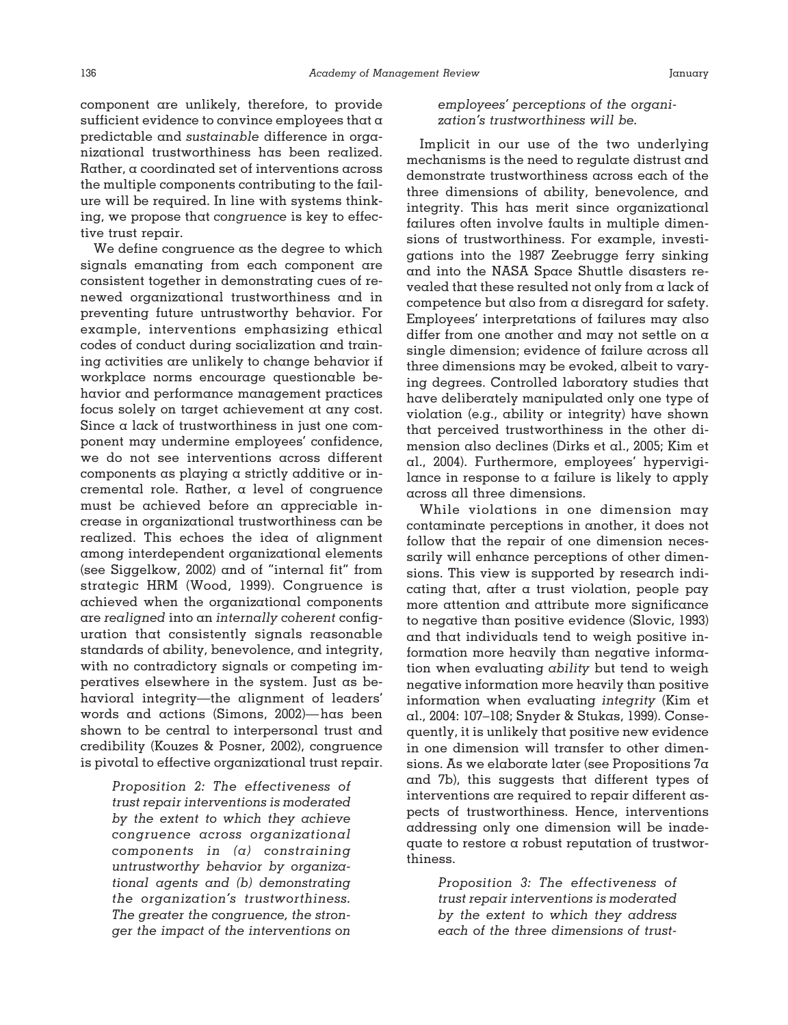component are unlikely, therefore, to provide sufficient evidence to convince employees that a predictable and *sustainable* difference in organizational trustworthiness has been realized. Rather, a coordinated set of interventions across the multiple components contributing to the failure will be required. In line with systems thinking, we propose that *congruence* is key to effective trust repair.

We define congruence as the degree to which signals emanating from each component are consistent together in demonstrating cues of renewed organizational trustworthiness and in preventing future untrustworthy behavior. For example, interventions emphasizing ethical codes of conduct during socialization and training activities are unlikely to change behavior if workplace norms encourage questionable behavior and performance management practices focus solely on target achievement at any cost. Since  $\alpha$  lack of trustworthiness in just one component may undermine employees' confidence, we do not see interventions across different components as playing a strictly additive or incremental role. Rather, a level of congruence must be achieved before an appreciable increase in organizational trustworthiness can be realized. This echoes the idea of alignment among interdependent organizational elements (see Siggelkow, 2002) and of "internal fit" from strategic HRM (Wood, 1999). Congruence is achieved when the organizational components are *realigned* into an *internally coherent* configuration that consistently signals reasonable standards of ability, benevolence, and integrity, with no contradictory signals or competing imperatives elsewhere in the system. Just as behavioral integrity—the alignment of leaders' words and actions (Simons, 2002)—has been shown to be central to interpersonal trust and credibility (Kouzes & Posner, 2002), congruence is pivotal to effective organizational trust repair.

> *Proposition 2: The effectiveness of trust repair interventions is moderated by the extent to which they achieve congruence across organizational components in (a) constraining untrustworthy behavior by organizational agents and (b) demonstrating the organization's trustworthiness. The greater the congruence, the stronger the impact of the interventions on*

## *employees' perceptions of the organization's trustworthiness will be.*

Implicit in our use of the two underlying mechanisms is the need to regulate distrust and demonstrate trustworthiness across each of the three dimensions of ability, benevolence, and integrity. This has merit since organizational failures often involve faults in multiple dimensions of trustworthiness. For example, investigations into the 1987 Zeebrugge ferry sinking and into the NASA Space Shuttle disasters revealed that these resulted not only from a lack of competence but also from a disregard for safety. Employees' interpretations of failures may also differ from one another and may not settle on a single dimension; evidence of failure across all three dimensions may be evoked, albeit to varying degrees. Controlled laboratory studies that have deliberately manipulated only one type of violation (e.g., ability or integrity) have shown that perceived trustworthiness in the other dimension also declines (Dirks et al., 2005; Kim et al., 2004). Furthermore, employees' hypervigilance in response to a failure is likely to apply across all three dimensions.

While violations in one dimension may contaminate perceptions in another, it does not follow that the repair of one dimension necessarily will enhance perceptions of other dimensions. This view is supported by research indicating that, after a trust violation, people pay more attention and attribute more significance to negative than positive evidence (Slovic, 1993) and that individuals tend to weigh positive information more heavily than negative information when evaluating *ability* but tend to weigh negative information more heavily than positive information when evaluating *integrity* (Kim et al., 2004: 107–108; Snyder & Stukas, 1999). Consequently, it is unlikely that positive new evidence in one dimension will transfer to other dimensions. As we elaborate later (see Propositions 7a and 7b), this suggests that different types of interventions are required to repair different aspects of trustworthiness. Hence, interventions addressing only one dimension will be inadequate to restore a robust reputation of trustworthiness.

> *Proposition 3: The effectiveness of trust repair interventions is moderated by the extent to which they address each of the three dimensions of trust-*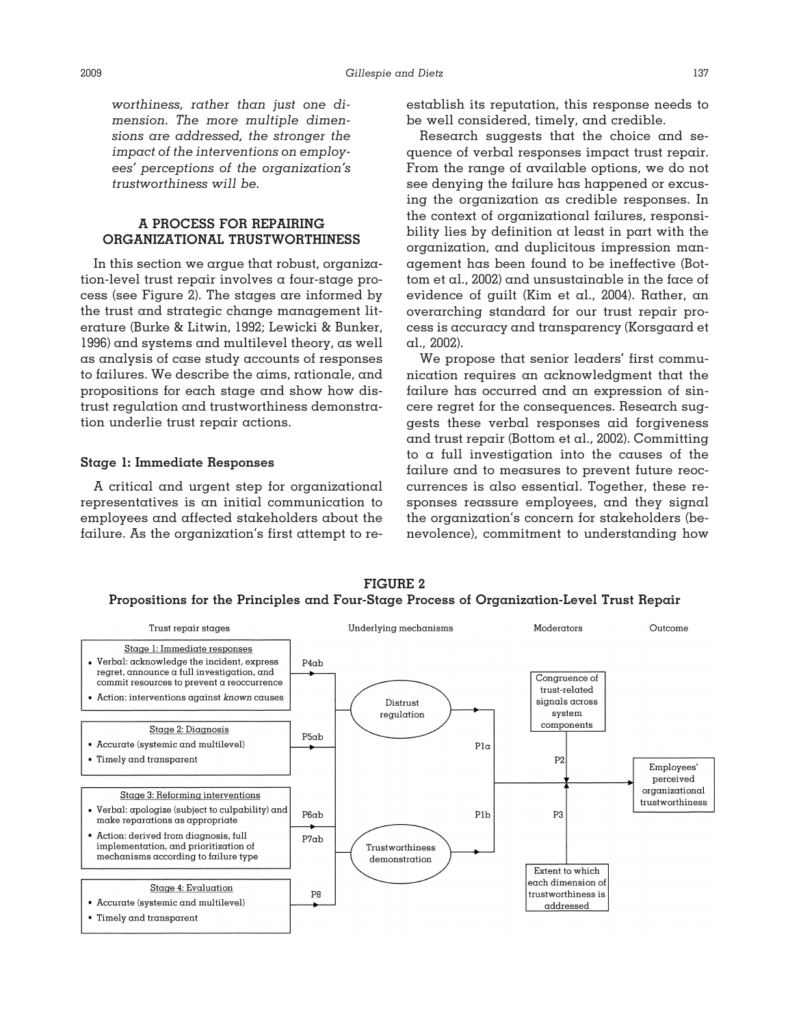*worthiness, rather than just one dimension. The more multiple dimensions are addressed, the stronger the impact of the interventions on employees' perceptions of the organization's trustworthiness will be.*

# **A PROCESS FOR REPAIRING ORGANIZATIONAL TRUSTWORTHINESS**

In this section we argue that robust, organization-level trust repair involves a four-stage process (see Figure 2). The stages are informed by the trust and strategic change management literature (Burke & Litwin, 1992; Lewicki & Bunker, 1996) and systems and multilevel theory, as well as analysis of case study accounts of responses to failures. We describe the aims, rationale, and propositions for each stage and show how distrust regulation and trustworthiness demonstration underlie trust repair actions.

### **Stage 1: Immediate Responses**

A critical and urgent step for organizational representatives is an initial communication to employees and affected stakeholders about the failure. As the organization's first attempt to reestablish its reputation, this response needs to be well considered, timely, and credible.

Research suggests that the choice and sequence of verbal responses impact trust repair. From the range of available options, we do not see denying the failure has happened or excusing the organization as credible responses. In the context of organizational failures, responsibility lies by definition at least in part with the organization, and duplicitous impression management has been found to be ineffective (Bottom et al., 2002) and unsustainable in the face of evidence of guilt (Kim et al., 2004). Rather, an overarching standard for our trust repair process is accuracy and transparency (Korsgaard et al., 2002).

We propose that senior leaders' first communication requires an acknowledgment that the failure has occurred and an expression of sincere regret for the consequences. Research suggests these verbal responses aid forgiveness and trust repair (Bottom et al., 2002). Committing to a full investigation into the causes of the failure and to measures to prevent future reoccurrences is also essential. Together, these responses reassure employees, and they signal the organization's concern for stakeholders (benevolence), commitment to understanding how

**FIGURE 2 Propositions for the Principles and Four-Stage Process of Organization-Level Trust Repair**

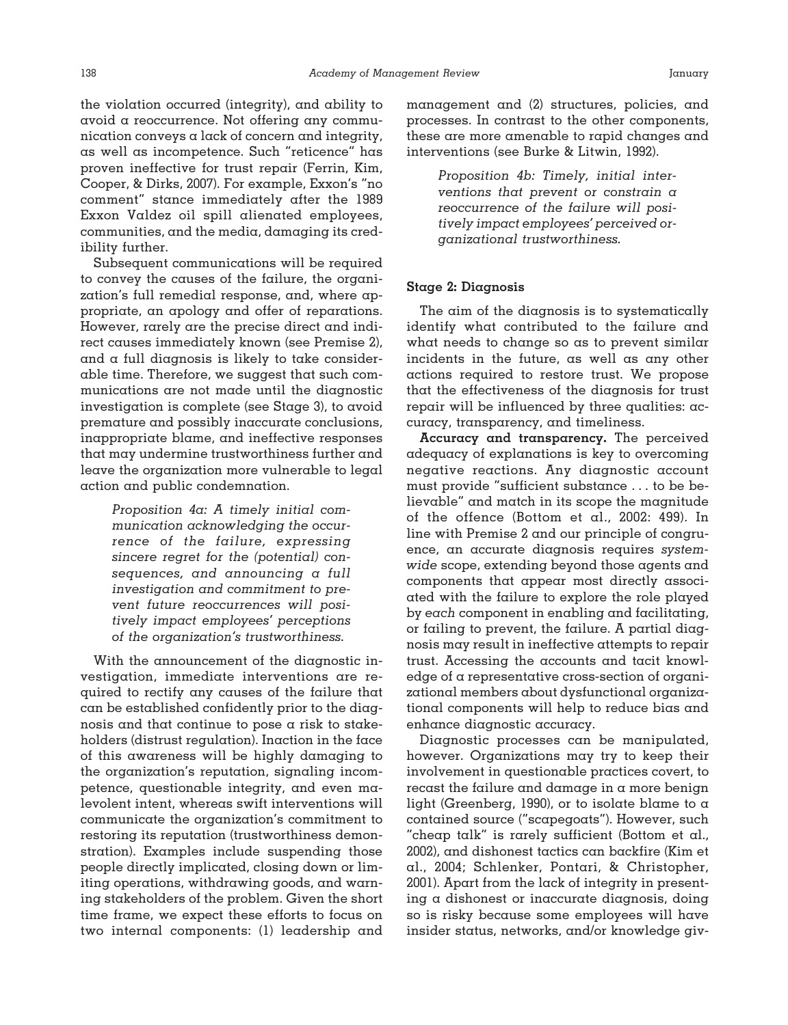the violation occurred (integrity), and ability to avoid a reoccurrence. Not offering any communication conveys a lack of concern and integrity, as well as incompetence. Such "reticence" has proven ineffective for trust repair (Ferrin, Kim, Cooper, & Dirks, 2007). For example, Exxon's "no comment" stance immediately after the 1989 Exxon Valdez oil spill alienated employees, communities, and the media, damaging its credibility further.

Subsequent communications will be required to convey the causes of the failure, the organization's full remedial response, and, where appropriate, an apology and offer of reparations. However, rarely are the precise direct and indirect causes immediately known (see Premise 2), and a full diagnosis is likely to take considerable time. Therefore, we suggest that such communications are not made until the diagnostic investigation is complete (see Stage 3), to avoid premature and possibly inaccurate conclusions, inappropriate blame, and ineffective responses that may undermine trustworthiness further and leave the organization more vulnerable to legal action and public condemnation.

> *Proposition 4a: A timely initial communication acknowledging the occurrence of the failure, expressing sincere regret for the (potential) consequences, and announcing a full investigation and commitment to prevent future reoccurrences will positively impact employees' perceptions of the organization's trustworthiness.*

With the announcement of the diagnostic investigation, immediate interventions are required to rectify any causes of the failure that can be established confidently prior to the diagnosis and that continue to pose a risk to stakeholders (distrust regulation). Inaction in the face of this awareness will be highly damaging to the organization's reputation, signaling incompetence, questionable integrity, and even malevolent intent, whereas swift interventions will communicate the organization's commitment to restoring its reputation (trustworthiness demonstration). Examples include suspending those people directly implicated, closing down or limiting operations, withdrawing goods, and warning stakeholders of the problem. Given the short time frame, we expect these efforts to focus on two internal components: (1) leadership and management and (2) structures, policies, and processes. In contrast to the other components, these are more amenable to rapid changes and interventions (see Burke & Litwin, 1992).

> *Proposition 4b: Timely, initial interventions that prevent or constrain a reoccurrence of the failure will positively impact employees' perceived organizational trustworthiness.*

#### **Stage 2: Diagnosis**

The aim of the diagnosis is to systematically identify what contributed to the failure and what needs to change so as to prevent similar incidents in the future, as well as any other actions required to restore trust. We propose that the effectiveness of the diagnosis for trust repair will be influenced by three qualities: accuracy, transparency, and timeliness.

**Accuracy and transparency.** The perceived adequacy of explanations is key to overcoming negative reactions. Any diagnostic account must provide "sufficient substance . . . to be believable" and match in its scope the magnitude of the offence (Bottom et al., 2002: 499). In line with Premise 2 and our principle of congruence, an accurate diagnosis requires *systemwide* scope, extending beyond those agents and components that appear most directly associated with the failure to explore the role played by *each* component in enabling and facilitating, or failing to prevent, the failure. A partial diagnosis may result in ineffective attempts to repair trust. Accessing the accounts and tacit knowledge of a representative cross-section of organizational members about dysfunctional organizational components will help to reduce bias and enhance diagnostic accuracy.

Diagnostic processes can be manipulated, however. Organizations may try to keep their involvement in questionable practices covert, to recast the failure and damage in a more benign light (Greenberg, 1990), or to isolate blame to a contained source ("scapegoats"). However, such "cheap talk" is rarely sufficient (Bottom et al., 2002), and dishonest tactics can backfire (Kim et al., 2004; Schlenker, Pontari, & Christopher, 2001). Apart from the lack of integrity in presenting a dishonest or inaccurate diagnosis, doing so is risky because some employees will have insider status, networks, and/or knowledge giv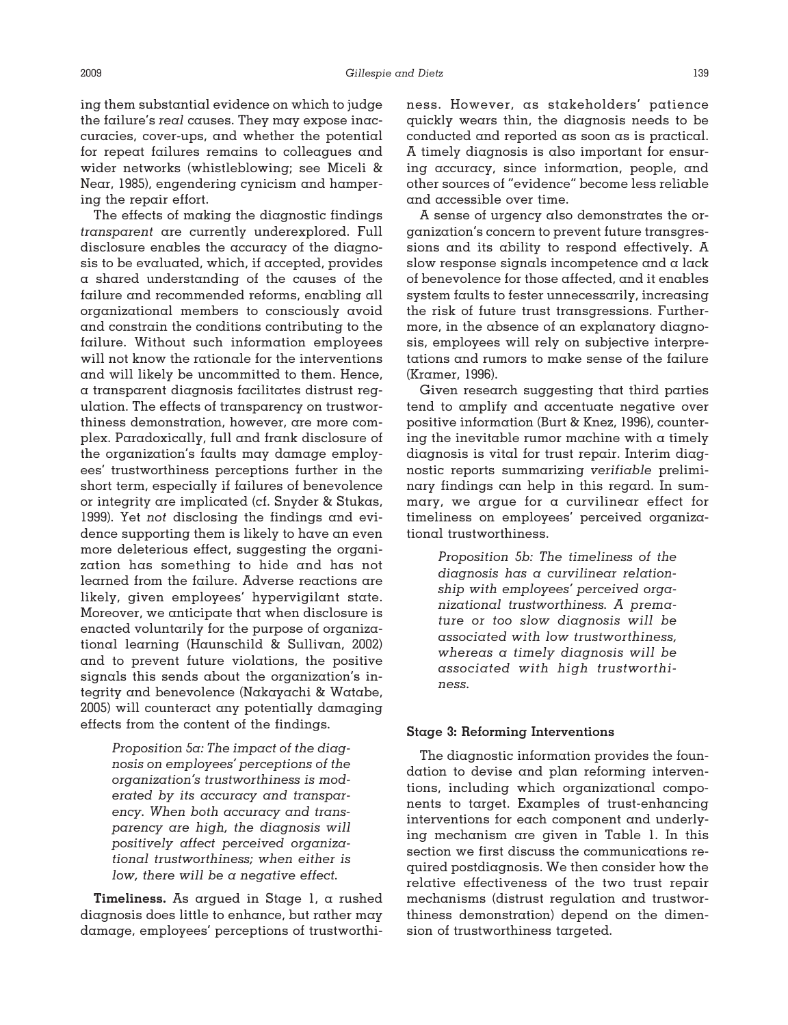ing them substantial evidence on which to judge the failure's *real* causes. They may expose inaccuracies, cover-ups, and whether the potential for repeat failures remains to colleagues and wider networks (whistleblowing; see Miceli & Near, 1985), engendering cynicism and hampering the repair effort.

The effects of making the diagnostic findings *transparent* are currently underexplored. Full disclosure enables the accuracy of the diagnosis to be evaluated, which, if accepted, provides a shared understanding of the causes of the failure and recommended reforms, enabling all organizational members to consciously avoid and constrain the conditions contributing to the failure. Without such information employees will not know the rationale for the interventions and will likely be uncommitted to them. Hence, a transparent diagnosis facilitates distrust regulation. The effects of transparency on trustworthiness demonstration, however, are more complex. Paradoxically, full and frank disclosure of the organization's faults may damage employees' trustworthiness perceptions further in the short term, especially if failures of benevolence or integrity are implicated (cf. Snyder & Stukas, 1999). Yet *not* disclosing the findings and evidence supporting them is likely to have an even more deleterious effect, suggesting the organization has something to hide and has not learned from the failure. Adverse reactions are likely, given employees' hypervigilant state. Moreover, we anticipate that when disclosure is enacted voluntarily for the purpose of organizational learning (Haunschild & Sullivan, 2002) and to prevent future violations, the positive signals this sends about the organization's integrity and benevolence (Nakayachi & Watabe, 2005) will counteract any potentially damaging effects from the content of the findings.

> *Proposition 5a: The impact of the diagnosis on employees' perceptions of the organization's trustworthiness is moderated by its accuracy and transparency. When both accuracy and transparency are high, the diagnosis will positively affect perceived organizational trustworthiness; when either is low, there will be a negative effect.*

**Timeliness.** As argued in Stage 1, a rushed diagnosis does little to enhance, but rather may damage, employees' perceptions of trustworthiness. However, as stakeholders' patience quickly wears thin, the diagnosis needs to be conducted and reported as soon as is practical. A timely diagnosis is also important for ensuring accuracy, since information, people, and other sources of "evidence" become less reliable and accessible over time.

A sense of urgency also demonstrates the organization's concern to prevent future transgressions and its ability to respond effectively. A slow response signals incompetence and a lack of benevolence for those affected, and it enables system faults to fester unnecessarily, increasing the risk of future trust transgressions. Furthermore, in the absence of an explanatory diagnosis, employees will rely on subjective interpretations and rumors to make sense of the failure (Kramer, 1996).

Given research suggesting that third parties tend to amplify and accentuate negative over positive information (Burt & Knez, 1996), countering the inevitable rumor machine with a timely diagnosis is vital for trust repair. Interim diagnostic reports summarizing *verifiable* preliminary findings can help in this regard. In summary, we argue for a curvilinear effect for timeliness on employees' perceived organizational trustworthiness.

*Proposition 5b: The timeliness of the diagnosis has a curvilinear relationship with employees' perceived organizational trustworthiness. A premature or too slow diagnosis will be associated with low trustworthiness, whereas a timely diagnosis will be associated with high trustworthiness.*

#### **Stage 3: Reforming Interventions**

The diagnostic information provides the foundation to devise and plan reforming interventions, including which organizational components to target. Examples of trust-enhancing interventions for each component and underlying mechanism are given in Table 1. In this section we first discuss the communications required postdiagnosis. We then consider how the relative effectiveness of the two trust repair mechanisms (distrust regulation and trustworthiness demonstration) depend on the dimension of trustworthiness targeted.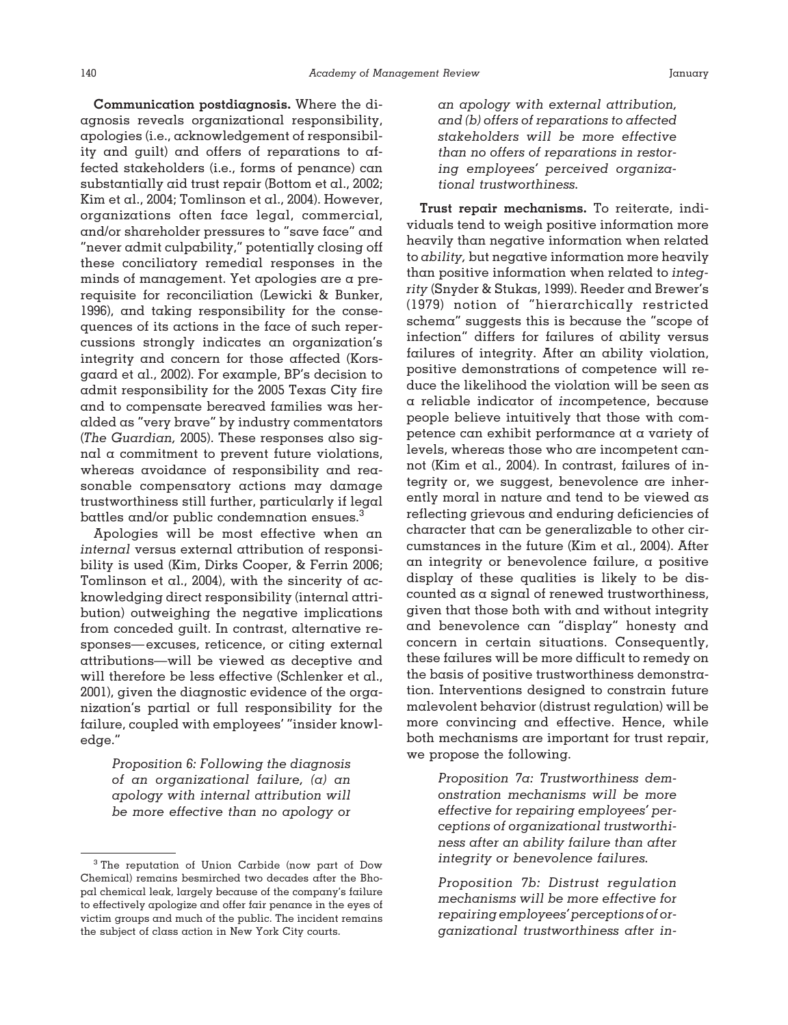**Communication postdiagnosis.** Where the diagnosis reveals organizational responsibility, apologies (i.e., acknowledgement of responsibility and guilt) and offers of reparations to affected stakeholders (i.e., forms of penance) can substantially aid trust repair (Bottom et al., 2002; Kim et al., 2004; Tomlinson et al., 2004). However, organizations often face legal, commercial, and/or shareholder pressures to "save face" and "never admit culpability," potentially closing off these conciliatory remedial responses in the minds of management. Yet apologies are a prerequisite for reconciliation (Lewicki & Bunker, 1996), and taking responsibility for the consequences of its actions in the face of such repercussions strongly indicates an organization's integrity and concern for those affected (Korsgaard et al., 2002). For example, BP's decision to admit responsibility for the 2005 Texas City fire and to compensate bereaved families was heralded as "very brave" by industry commentators (*The Guardian,* 2005). These responses also signal a commitment to prevent future violations, whereas avoidance of responsibility and reasonable compensatory actions may damage trustworthiness still further, particularly if legal battles and/or public condemnation ensues.<sup>3</sup>

Apologies will be most effective when an *internal* versus external attribution of responsibility is used (Kim, Dirks Cooper, & Ferrin 2006; Tomlinson et al., 2004), with the sincerity of acknowledging direct responsibility (internal attribution) outweighing the negative implications from conceded guilt. In contrast, alternative responses— excuses, reticence, or citing external attributions—will be viewed as deceptive and will therefore be less effective (Schlenker et al., 2001), given the diagnostic evidence of the organization's partial or full responsibility for the failure, coupled with employees' "insider knowledge."

> *Proposition 6: Following the diagnosis of an organizational failure, (a) an apology with internal attribution will be more effective than no apology or*

*an apology with external attribution, and (b) offers of reparations to affected stakeholders will be more effective than no offers of reparations in restoring employees' perceived organizational trustworthiness.*

**Trust repair mechanisms.** To reiterate, individuals tend to weigh positive information more heavily than negative information when related to *ability,* but negative information more heavily than positive information when related to *integrity* (Snyder & Stukas, 1999). Reeder and Brewer's (1979) notion of "hierarchically restricted schema" suggests this is because the "scope of infection" differs for failures of ability versus failures of integrity. After an ability violation, positive demonstrations of competence will reduce the likelihood the violation will be seen as a reliable indicator of *in*competence, because people believe intuitively that those with competence can exhibit performance at a variety of levels, whereas those who are incompetent cannot (Kim et al., 2004). In contrast, failures of integrity or, we suggest, benevolence are inherently moral in nature and tend to be viewed as reflecting grievous and enduring deficiencies of character that can be generalizable to other circumstances in the future (Kim et al., 2004). After an integrity or benevolence failure, a positive display of these qualities is likely to be discounted as a signal of renewed trustworthiness, given that those both with and without integrity and benevolence can "display" honesty and concern in certain situations. Consequently, these failures will be more difficult to remedy on the basis of positive trustworthiness demonstration. Interventions designed to constrain future malevolent behavior (distrust regulation) will be more convincing and effective. Hence, while both mechanisms are important for trust repair, we propose the following.

> *Proposition 7a: Trustworthiness demonstration mechanisms will be more effective for repairing employees' perceptions of organizational trustworthiness after an ability failure than after integrity or benevolence failures.*

> *Proposition 7b: Distrust regulation mechanisms will be more effective for repairing employees' perceptions of organizational trustworthiness after in-*

<sup>3</sup> The reputation of Union Carbide (now part of Dow Chemical) remains besmirched two decades after the Bhopal chemical leak, largely because of the company's failure to effectively apologize and offer fair penance in the eyes of victim groups and much of the public. The incident remains the subject of class action in New York City courts.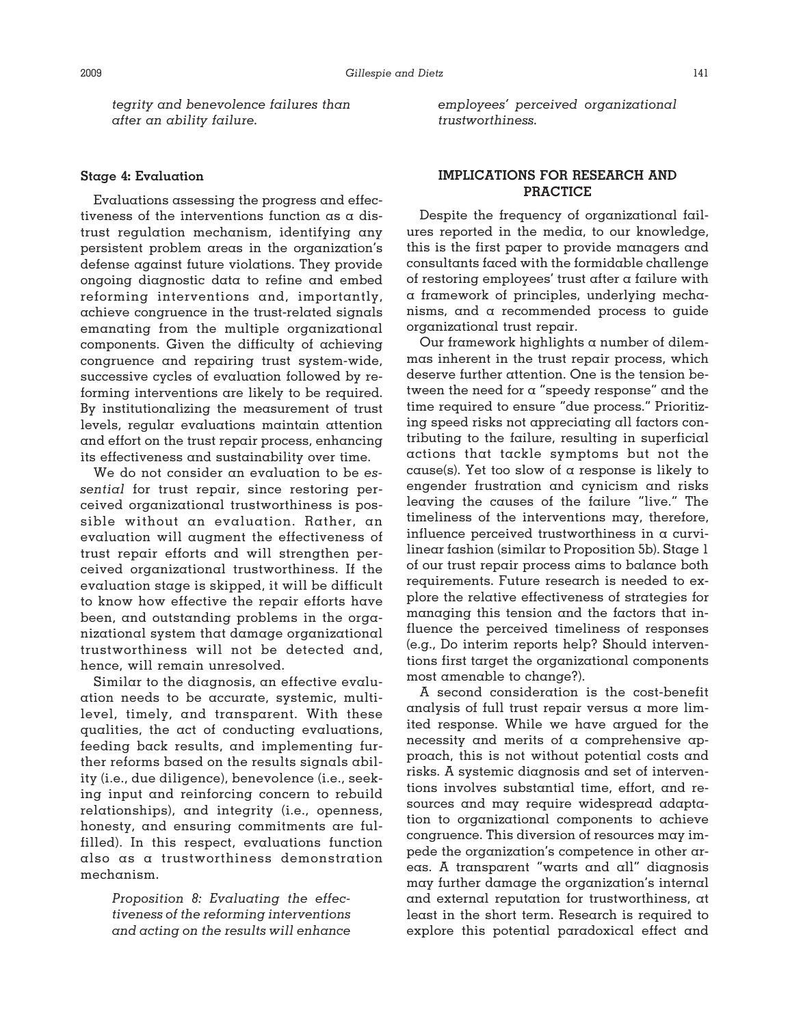*tegrity and benevolence failures than after an ability failure.*

#### **Stage 4: Evaluation**

Evaluations assessing the progress and effectiveness of the interventions function as  $\alpha$  distrust regulation mechanism, identifying any persistent problem areas in the organization's defense against future violations. They provide ongoing diagnostic data to refine and embed reforming interventions and, importantly, achieve congruence in the trust-related signals emanating from the multiple organizational components. Given the difficulty of achieving congruence and repairing trust system-wide, successive cycles of evaluation followed by reforming interventions are likely to be required. By institutionalizing the measurement of trust levels, regular evaluations maintain attention and effort on the trust repair process, enhancing its effectiveness and sustainability over time.

We do not consider an evaluation to be *essential* for trust repair, since restoring perceived organizational trustworthiness is possible without an evaluation. Rather, an evaluation will augment the effectiveness of trust repair efforts and will strengthen perceived organizational trustworthiness. If the evaluation stage is skipped, it will be difficult to know how effective the repair efforts have been, and outstanding problems in the organizational system that damage organizational trustworthiness will not be detected and, hence, will remain unresolved.

Similar to the diagnosis, an effective evaluation needs to be accurate, systemic, multilevel, timely, and transparent. With these qualities, the act of conducting evaluations, feeding back results, and implementing further reforms based on the results signals ability (i.e., due diligence), benevolence (i.e., seeking input and reinforcing concern to rebuild relationships), and integrity (i.e., openness, honesty, and ensuring commitments are fulfilled). In this respect, evaluations function also as a trustworthiness demonstration mechanism.

> *Proposition 8: Evaluating the effectiveness of the reforming interventions and acting on the results will enhance*

*employees' perceived organizational trustworthiness.*

# **IMPLICATIONS FOR RESEARCH AND PRACTICE**

Despite the frequency of organizational failures reported in the media, to our knowledge, this is the first paper to provide managers and consultants faced with the formidable challenge of restoring employees' trust after a failure with a framework of principles, underlying mechanisms, and a recommended process to guide organizational trust repair.

Our framework highlights a number of dilemmas inherent in the trust repair process, which deserve further attention. One is the tension between the need for a "speedy response" and the time required to ensure "due process." Prioritizing speed risks not appreciating all factors contributing to the failure, resulting in superficial actions that tackle symptoms but not the cause(s). Yet too slow of  $\alpha$  response is likely to engender frustration and cynicism and risks leaving the causes of the failure "live." The timeliness of the interventions may, therefore, influence perceived trustworthiness in  $\alpha$  curvilinear fashion (similar to Proposition 5b). Stage 1 of our trust repair process aims to balance both requirements. Future research is needed to explore the relative effectiveness of strategies for managing this tension and the factors that influence the perceived timeliness of responses (e.g., Do interim reports help? Should interventions first target the organizational components most amenable to change?).

A second consideration is the cost-benefit analysis of full trust repair versus a more limited response. While we have argued for the necessity and merits of a comprehensive approach, this is not without potential costs and risks. A systemic diagnosis and set of interventions involves substantial time, effort, and resources and may require widespread adaptation to organizational components to achieve congruence. This diversion of resources may impede the organization's competence in other areas. A transparent "warts and all" diagnosis may further damage the organization's internal and external reputation for trustworthiness, at least in the short term. Research is required to explore this potential paradoxical effect and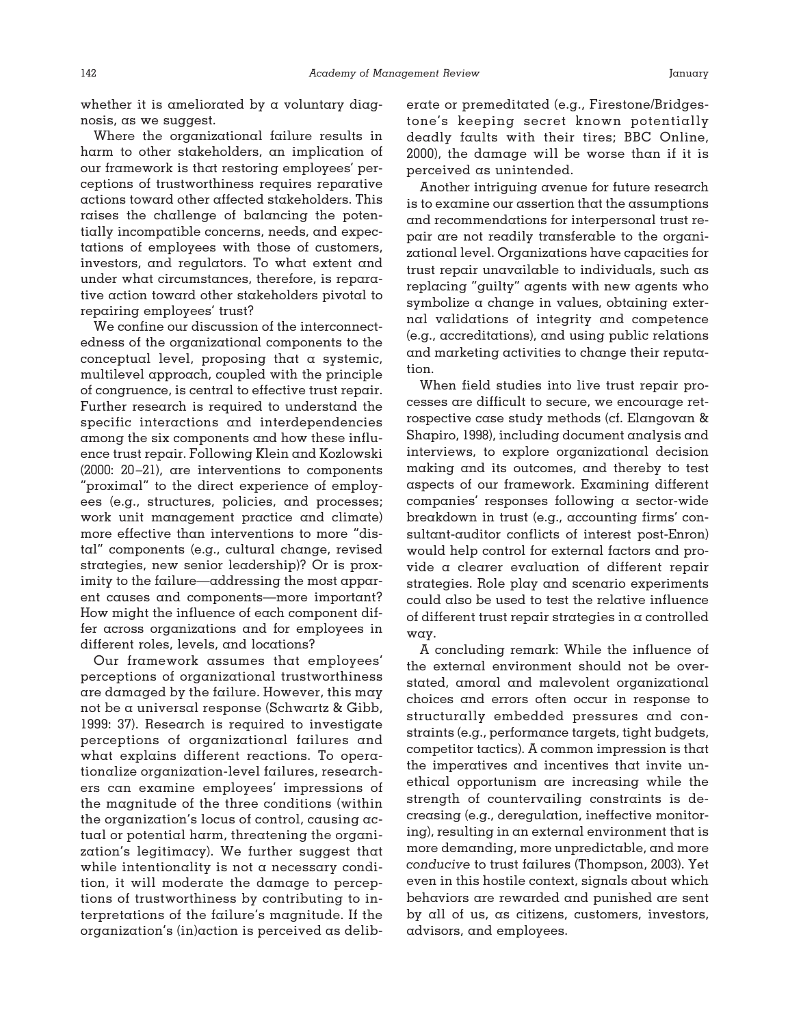whether it is ameliorated by a voluntary diagnosis, as we suggest.

Where the organizational failure results in harm to other stakeholders, an implication of our framework is that restoring employees' perceptions of trustworthiness requires reparative actions toward other affected stakeholders. This raises the challenge of balancing the potentially incompatible concerns, needs, and expectations of employees with those of customers, investors, and regulators. To what extent and under what circumstances, therefore, is reparative action toward other stakeholders pivotal to repairing employees' trust?

We confine our discussion of the interconnectedness of the organizational components to the conceptual level, proposing that a systemic, multilevel approach, coupled with the principle of congruence, is central to effective trust repair. Further research is required to understand the specific interactions and interdependencies among the six components and how these influence trust repair. Following Klein and Kozlowski (2000: 20 –21), are interventions to components "proximal" to the direct experience of employees (e.g., structures, policies, and processes; work unit management practice and climate) more effective than interventions to more "distal" components (e.g., cultural change, revised strategies, new senior leadership)? Or is proximity to the failure—addressing the most apparent causes and components—more important? How might the influence of each component differ across organizations and for employees in different roles, levels, and locations?

Our framework assumes that employees' perceptions of organizational trustworthiness are damaged by the failure. However, this may not be a universal response (Schwartz & Gibb, 1999: 37). Research is required to investigate perceptions of organizational failures and what explains different reactions. To operationalize organization-level failures, researchers can examine employees' impressions of the magnitude of the three conditions (within the organization's locus of control, causing actual or potential harm, threatening the organization's legitimacy). We further suggest that while intentionality is not a necessary condition, it will moderate the damage to perceptions of trustworthiness by contributing to interpretations of the failure's magnitude. If the organization's (in)action is perceived as deliberate or premeditated (e.g., Firestone/Bridgestone's keeping secret known potentially deadly faults with their tires; BBC Online, 2000), the damage will be worse than if it is perceived as unintended.

Another intriguing avenue for future research is to examine our assertion that the assumptions and recommendations for interpersonal trust repair are not readily transferable to the organizational level. Organizations have capacities for trust repair unavailable to individuals, such as replacing "guilty" agents with new agents who symbolize a change in values, obtaining external validations of integrity and competence (e.g., accreditations), and using public relations and marketing activities to change their reputation.

When field studies into live trust repair processes are difficult to secure, we encourage retrospective case study methods (cf. Elangovan & Shapiro, 1998), including document analysis and interviews, to explore organizational decision making and its outcomes, and thereby to test aspects of our framework. Examining different companies' responses following a sector-wide breakdown in trust (e.g., accounting firms' consultant-auditor conflicts of interest post-Enron) would help control for external factors and provide a clearer evaluation of different repair strategies. Role play and scenario experiments could also be used to test the relative influence of different trust repair strategies in a controlled way.

A concluding remark: While the influence of the external environment should not be overstated, amoral and malevolent organizational choices and errors often occur in response to structurally embedded pressures and constraints (e.g., performance targets, tight budgets, competitor tactics). A common impression is that the imperatives and incentives that invite unethical opportunism are increasing while the strength of countervailing constraints is decreasing (e.g., deregulation, ineffective monitoring), resulting in an external environment that is more demanding, more unpredictable, and more *conducive* to trust failures (Thompson, 2003). Yet even in this hostile context, signals about which behaviors are rewarded and punished are sent by all of us, as citizens, customers, investors, advisors, and employees.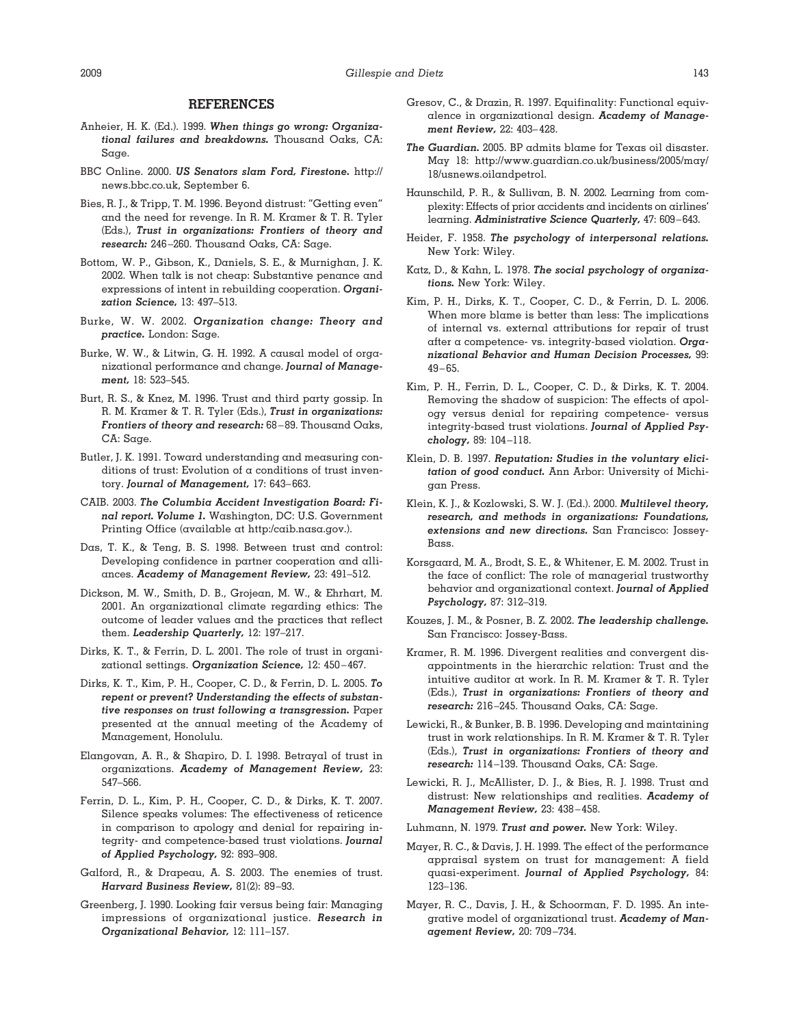### **REFERENCES**

- Anheier, H. K. (Ed.). 1999. *When things go wrong: Organizational failures and breakdowns.* Thousand Oaks, CA: Sage.
- BBC Online. 2000. *US Senators slam Ford, Firestone.* http:// news.bbc.co.uk, September 6.
- Bies, R. J., & Tripp, T. M. 1996. Beyond distrust: "Getting even" and the need for revenge. In R. M. Kramer & T. R. Tyler (Eds.), *Trust in organizations: Frontiers of theory and research:* 246 –260. Thousand Oaks, CA: Sage.
- Bottom, W. P., Gibson, K., Daniels, S. E., & Murnighan, J. K. 2002. When talk is not cheap: Substantive penance and expressions of intent in rebuilding cooperation. *Organization Science,* 13: 497–513.
- Burke, W. W. 2002. *Organization change: Theory and practice.* London: Sage.
- Burke, W. W., & Litwin, G. H. 1992. A causal model of organizational performance and change. *Journal of Management,* 18: 523–545.
- Burt, R. S., & Knez, M. 1996. Trust and third party gossip. In R. M. Kramer & T. R. Tyler (Eds.), *Trust in organizations: Frontiers of theory and research:* 68 – 89. Thousand Oaks, CA: Sage.
- Butler, J. K. 1991. Toward understanding and measuring conditions of trust: Evolution of  $\alpha$  conditions of trust inventory. *Journal of Management,* 17: 643– 663.
- CAIB. 2003. *The Columbia Accident Investigation Board: Final report. Volume 1.* Washington, DC: U.S. Government Printing Office (available at http:/caib.nasa.gov.).
- Das, T. K., & Teng, B. S. 1998. Between trust and control: Developing confidence in partner cooperation and alliances. *Academy of Management Review,* 23: 491–512.
- Dickson, M. W., Smith, D. B., Grojean, M. W., & Ehrhart, M. 2001. An organizational climate regarding ethics: The outcome of leader values and the practices that reflect them. *Leadership Quarterly,* 12: 197–217.
- Dirks, K. T., & Ferrin, D. L. 2001. The role of trust in organizational settings. Organization Science, 12: 450-467.
- Dirks, K. T., Kim, P. H., Cooper, C. D., & Ferrin, D. L. 2005. *To repent or prevent? Understanding the effects of substantive responses on trust following a transgression.* Paper presented at the annual meeting of the Academy of Management, Honolulu.
- Elangovan, A. R., & Shapiro, D. I. 1998. Betrayal of trust in organizations. *Academy of Management Review,* 23: 547–566.
- Ferrin, D. L., Kim, P. H., Cooper, C. D., & Dirks, K. T. 2007. Silence speaks volumes: The effectiveness of reticence in comparison to apology and denial for repairing integrity- and competence-based trust violations. *Journal of Applied Psychology,* 92: 893–908.
- Galford, R., & Drapeau, A. S. 2003. The enemies of trust. *Harvard Business Review,* 81(2): 89 –93.
- Greenberg, J. 1990. Looking fair versus being fair: Managing impressions of organizational justice. *Research in Organizational Behavior,* 12: 111–157.
- Gresov, C., & Drazin, R. 1997. Equifinality: Functional equivalence in organizational design. *Academy of Management Review,* 22: 403– 428.
- *The Guardian.* 2005. BP admits blame for Texas oil disaster. May 18: http://www.guardian.co.uk/business/2005/may/ 18/usnews.oilandpetrol.
- Haunschild, P. R., & Sullivan, B. N. 2002. Learning from complexity: Effects of prior accidents and incidents on airlines' learning. *Administrative Science Quarterly*, 47: 609-643.
- Heider, F. 1958. *The psychology of interpersonal relations.* New York: Wiley.
- Katz, D., & Kahn, L. 1978. *The social psychology of organizations.* New York: Wiley.
- Kim, P. H., Dirks, K. T., Cooper, C. D., & Ferrin, D. L. 2006. When more blame is better than less: The implications of internal vs. external attributions for repair of trust after a competence- vs. integrity-based violation. *Organizational Behavior and Human Decision Processes,* 99:  $49 - 65.$
- Kim, P. H., Ferrin, D. L., Cooper, C. D., & Dirks, K. T. 2004. Removing the shadow of suspicion: The effects of apology versus denial for repairing competence- versus integrity-based trust violations. *Journal of Applied Psychology,* 89: 104 –118.
- Klein, D. B. 1997. *Reputation: Studies in the voluntary elicitation of good conduct.* Ann Arbor: University of Michigan Press.
- Klein, K. J., & Kozlowski, S. W. J. (Ed.). 2000. *Multilevel theory, research, and methods in organizations: Foundations, extensions and new directions.* San Francisco: Jossey-Bass.
- Korsgaard, M. A., Brodt, S. E., & Whitener, E. M. 2002. Trust in the face of conflict: The role of managerial trustworthy behavior and organizational context. *Journal of Applied Psychology,* 87: 312–319.
- Kouzes, J. M., & Posner, B. Z. 2002. *The leadership challenge.* San Francisco: Jossey-Bass.
- Kramer, R. M. 1996. Divergent realities and convergent disappointments in the hierarchic relation: Trust and the intuitive auditor at work. In R. M. Kramer & T. R. Tyler (Eds.), *Trust in organizations: Frontiers of theory and research:* 216 –245. Thousand Oaks, CA: Sage.
- Lewicki, R., & Bunker, B. B. 1996. Developing and maintaining trust in work relationships. In R. M. Kramer & T. R. Tyler (Eds.), *Trust in organizations: Frontiers of theory and research:* 114 –139. Thousand Oaks, CA: Sage.
- Lewicki, R. J., McAllister, D. J., & Bies, R. J. 1998. Trust and distrust: New relationships and realities. *Academy of Management Review,* 23: 438 – 458.
- Luhmann, N. 1979. *Trust and power.* New York: Wiley.
- Mayer, R. C., & Davis, J. H. 1999. The effect of the performance appraisal system on trust for management: A field quasi-experiment. *Journal of Applied Psychology,* 84: 123–136.
- Mayer, R. C., Davis, J. H., & Schoorman, F. D. 1995. An integrative model of organizational trust. *Academy of Management Review,* 20: 709 –734.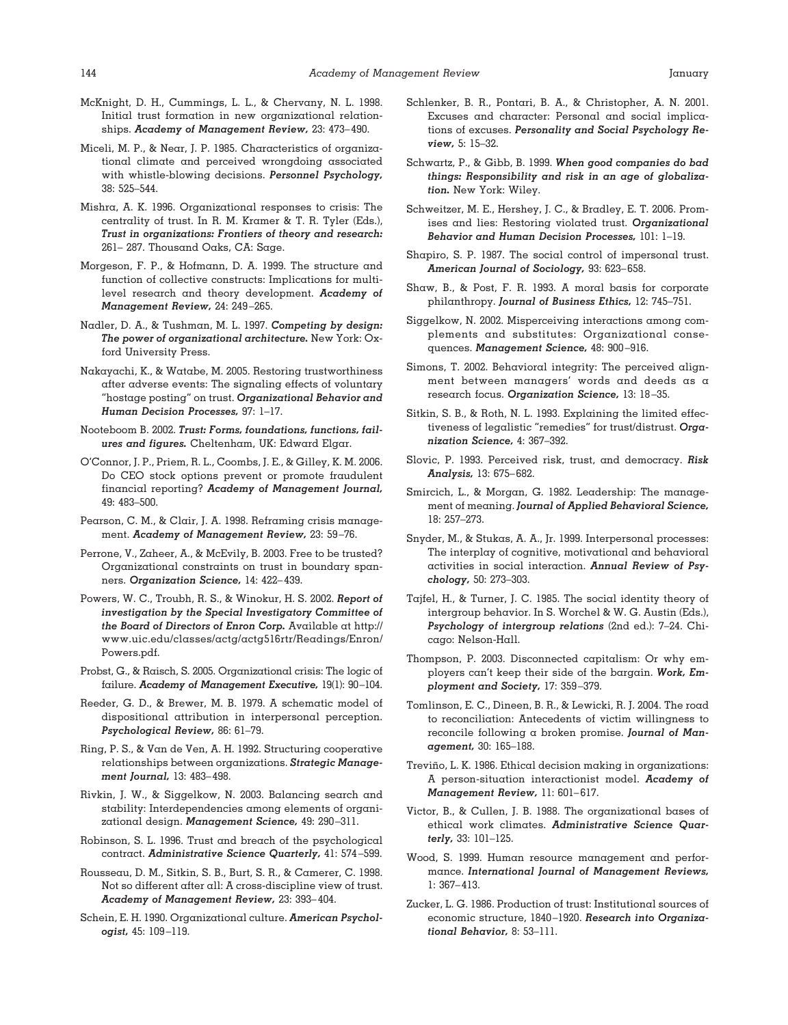- McKnight, D. H., Cummings, L. L., & Chervany, N. L. 1998. Initial trust formation in new organizational relationships. *Academy of Management Review,* 23: 473– 490.
- Miceli, M. P., & Near, J. P. 1985. Characteristics of organizational climate and perceived wrongdoing associated with whistle-blowing decisions. *Personnel Psychology,* 38: 525–544.
- Mishra, A. K. 1996. Organizational responses to crisis: The centrality of trust. In R. M. Kramer & T. R. Tyler (Eds.), *Trust in organizations: Frontiers of theory and research:* 261– 287. Thousand Oaks, CA: Sage.
- Morgeson, F. P., & Hofmann, D. A. 1999. The structure and function of collective constructs: Implications for multilevel research and theory development. *Academy of Management Review,* 24: 249 –265.
- Nadler, D. A., & Tushman, M. L. 1997. *Competing by design: The power of organizational architecture.* New York: Oxford University Press.
- Nakayachi, K., & Watabe, M. 2005. Restoring trustworthiness after adverse events: The signaling effects of voluntary "hostage posting" on trust. *Organizational Behavior and Human Decision Processes,* 97: 1–17.
- Nooteboom B. 2002. *Trust: Forms, foundations, functions, failures and figures.* Cheltenham, UK: Edward Elgar.
- O'Connor, J. P., Priem, R. L., Coombs, J. E., & Gilley, K. M. 2006. Do CEO stock options prevent or promote fraudulent financial reporting? *Academy of Management Journal,* 49: 483–500.
- Pearson, C. M., & Clair, J. A. 1998. Reframing crisis management. *Academy of Management Review,* 23: 59 –76.
- Perrone, V., Zaheer, A., & McEvily, B. 2003. Free to be trusted? Organizational constraints on trust in boundary spanners. *Organization Science,* 14: 422– 439.
- Powers, W. C., Troubh, R. S., & Winokur, H. S. 2002. *Report of investigation by the Special Investigatory Committee of the Board of Directors of Enron Corp.* Available at http:// www.uic.edu/classes/actg/actg516rtr/Readings/Enron/ Powers.pdf.
- Probst, G., & Raisch, S. 2005. Organizational crisis: The logic of failure. *Academy of Management Executive,* 19(1): 90 –104.
- Reeder, G. D., & Brewer, M. B. 1979. A schematic model of dispositional attribution in interpersonal perception. *Psychological Review,* 86: 61–79.
- Ring, P. S., & Van de Ven, A. H. 1992. Structuring cooperative relationships between organizations. *Strategic Management Journal,* 13: 483– 498.
- Rivkin, J. W., & Siggelkow, N. 2003. Balancing search and stability: Interdependencies among elements of organizational design. *Management Science,* 49: 290 –311.
- Robinson, S. L. 1996. Trust and breach of the psychological contract. *Administrative Science Quarterly,* 41: 574 –599.
- Rousseau, D. M., Sitkin, S. B., Burt, S. R., & Camerer, C. 1998. Not so different after all: A cross-discipline view of trust. *Academy of Management Review,* 23: 393– 404.
- Schein, E. H. 1990. Organizational culture. *American Psychologist,* 45: 109 –119.
- Schlenker, B. R., Pontari, B. A., & Christopher, A. N. 2001. Excuses and character: Personal and social implications of excuses. *Personality and Social Psychology Review,* 5: 15–32.
- Schwartz, P., & Gibb, B. 1999. *When good companies do bad things: Responsibility and risk in an age of globalization.* New York: Wiley.
- Schweitzer, M. E., Hershey, J. C., & Bradley, E. T. 2006. Promises and lies: Restoring violated trust. *Organizational Behavior and Human Decision Processes,* 101: 1–19.
- Shapiro, S. P. 1987. The social control of impersonal trust. *American Journal of Sociology,* 93: 623– 658.
- Shaw, B., & Post, F. R. 1993. A moral basis for corporate philanthropy. *Journal of Business Ethics,* 12: 745–751.
- Siggelkow, N. 2002. Misperceiving interactions among complements and substitutes: Organizational consequences. *Management Science,* 48: 900 –916.
- Simons, T. 2002. Behavioral integrity: The perceived alignment between managers' words and deeds as a research focus. *Organization Science,* 13: 18 –35.
- Sitkin, S. B., & Roth, N. L. 1993. Explaining the limited effectiveness of legalistic "remedies" for trust/distrust. *Organization Science,* 4: 367–392.
- Slovic, P. 1993. Perceived risk, trust, and democracy. *Risk Analysis,* 13: 675– 682.
- Smircich, L., & Morgan, G. 1982. Leadership: The management of meaning. *Journal of Applied Behavioral Science,* 18: 257–273.
- Snyder, M., & Stukas, A. A., Jr. 1999. Interpersonal processes: The interplay of cognitive, motivational and behavioral activities in social interaction. *Annual Review of Psychology,* 50: 273–303.
- Tajfel, H., & Turner, J. C. 1985. The social identity theory of intergroup behavior. In S. Worchel & W. G. Austin (Eds.), *Psychology of intergroup relations* (2nd ed.): 7–24. Chicago: Nelson-Hall.
- Thompson, P. 2003. Disconnected capitalism: Or why employers can't keep their side of the bargain. *Work, Employment and Society,* 17: 359 –379.
- Tomlinson, E. C., Dineen, B. R., & Lewicki, R. J. 2004. The road to reconciliation: Antecedents of victim willingness to reconcile following a broken promise. *Journal of Management,* 30: 165–188.
- Treviño, L. K. 1986. Ethical decision making in organizations: A person-situation interactionist model. *Academy of* Management Review, 11: 601-617.
- Victor, B., & Cullen, J. B. 1988. The organizational bases of ethical work climates. *Administrative Science Quarterly,* 33: 101–125.
- Wood, S. 1999. Human resource management and performance. *International Journal of Management Reviews,* 1: 367– 413.
- Zucker, L. G. 1986. Production of trust: Institutional sources of economic structure, 1840 –1920. *Research into Organizational Behavior,* 8: 53–111.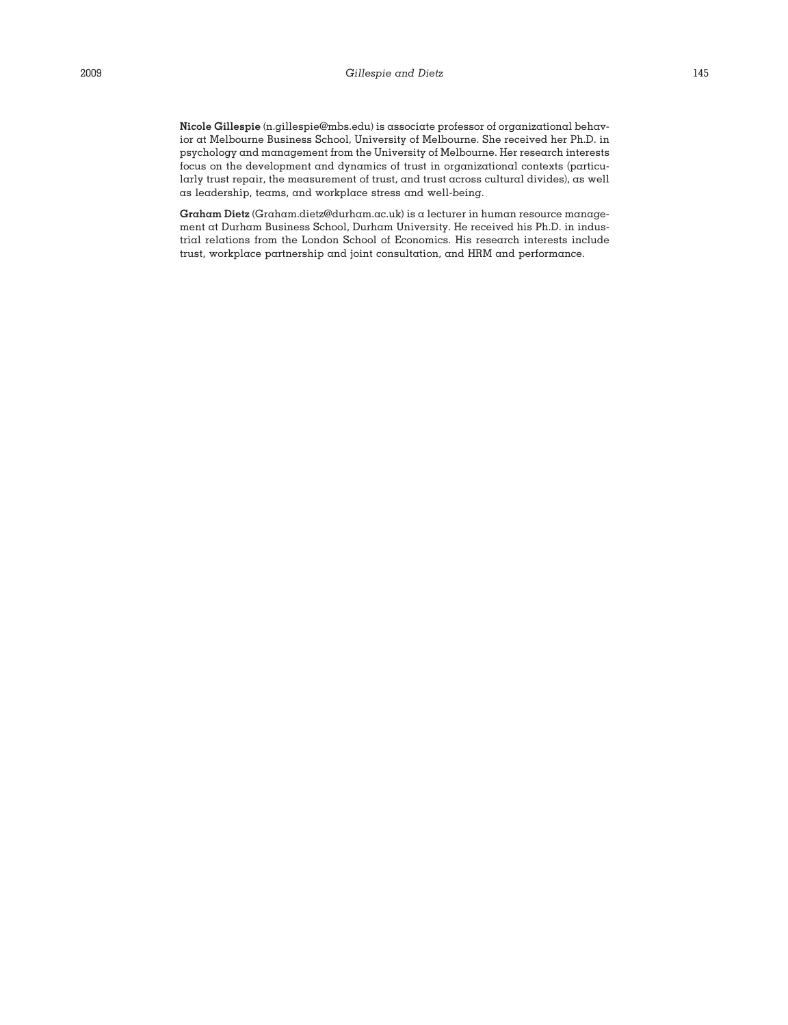**Nicole Gillespie** (n.gillespie@mbs.edu) is associate professor of organizational behavior at Melbourne Business School, University of Melbourne. She received her Ph.D. in psychology and management from the University of Melbourne. Her research interests focus on the development and dynamics of trust in organizational contexts (particularly trust repair, the measurement of trust, and trust across cultural divides), as well as leadership, teams, and workplace stress and well-being.

**Graham Dietz** (Graham.dietz@durham.ac.uk) is a lecturer in human resource management at Durham Business School, Durham University. He received his Ph.D. in industrial relations from the London School of Economics. His research interests include trust, workplace partnership and joint consultation, and HRM and performance.